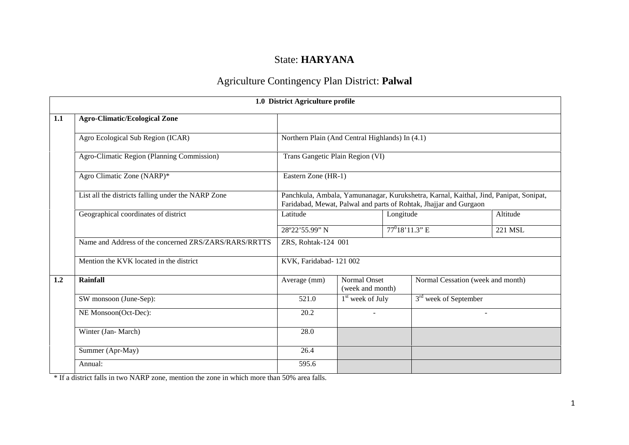## State: **HARYANA**

# Agriculture Contingency Plan District: **Palwal**

|     |                                                       | 1.0 District Agriculture profile                                                                                                                                                                                                                                                                                                                                                                                |                                         |  |                                   |  |
|-----|-------------------------------------------------------|-----------------------------------------------------------------------------------------------------------------------------------------------------------------------------------------------------------------------------------------------------------------------------------------------------------------------------------------------------------------------------------------------------------------|-----------------------------------------|--|-----------------------------------|--|
| 1.1 | <b>Agro-Climatic/Ecological Zone</b>                  |                                                                                                                                                                                                                                                                                                                                                                                                                 |                                         |  |                                   |  |
|     | Agro Ecological Sub Region (ICAR)                     | Northern Plain (And Central Highlands) In (4.1)<br>Trans Gangetic Plain Region (VI)<br>Eastern Zone (HR-1)<br>Panchkula, Ambala, Yamunanagar, Kurukshetra, Karnal, Kaithal, Jind, Panipat, Sonipat,<br>Faridabad, Mewat, Palwal and parts of Rohtak, Jhajjar and Gurgaon<br>Altitude<br>Latitude<br>Longitude<br>$77^018'11.3''$ E<br>28°22'55.99" N<br>221 MSL<br>ZRS, Rohtak-124 001<br>KVK, Faridabad-121002 |                                         |  |                                   |  |
|     | Agro-Climatic Region (Planning Commission)            |                                                                                                                                                                                                                                                                                                                                                                                                                 |                                         |  |                                   |  |
|     | Agro Climatic Zone (NARP)*                            |                                                                                                                                                                                                                                                                                                                                                                                                                 |                                         |  |                                   |  |
|     | List all the districts falling under the NARP Zone    |                                                                                                                                                                                                                                                                                                                                                                                                                 |                                         |  |                                   |  |
|     | Geographical coordinates of district                  |                                                                                                                                                                                                                                                                                                                                                                                                                 |                                         |  |                                   |  |
|     |                                                       |                                                                                                                                                                                                                                                                                                                                                                                                                 |                                         |  |                                   |  |
|     | Name and Address of the concerned ZRS/ZARS/RARS/RRTTS |                                                                                                                                                                                                                                                                                                                                                                                                                 |                                         |  |                                   |  |
|     | Mention the KVK located in the district               |                                                                                                                                                                                                                                                                                                                                                                                                                 |                                         |  |                                   |  |
| 1.2 | Rainfall                                              | Average (mm)                                                                                                                                                                                                                                                                                                                                                                                                    | <b>Normal Onset</b><br>(week and month) |  | Normal Cessation (week and month) |  |
|     | SW monsoon (June-Sep):                                | 521.0                                                                                                                                                                                                                                                                                                                                                                                                           | $1st$ week of July                      |  | 3 <sup>rd</sup> week of September |  |
|     | NE Monsoon(Oct-Dec):                                  | 20.2                                                                                                                                                                                                                                                                                                                                                                                                            |                                         |  |                                   |  |
|     | Winter (Jan- March)                                   | 28.0                                                                                                                                                                                                                                                                                                                                                                                                            |                                         |  |                                   |  |
|     | Summer (Apr-May)                                      | 26.4                                                                                                                                                                                                                                                                                                                                                                                                            |                                         |  |                                   |  |
|     | Annual:                                               | 595.6                                                                                                                                                                                                                                                                                                                                                                                                           |                                         |  |                                   |  |

\* If a district falls in two NARP zone, mention the zone in which more than 50% area falls.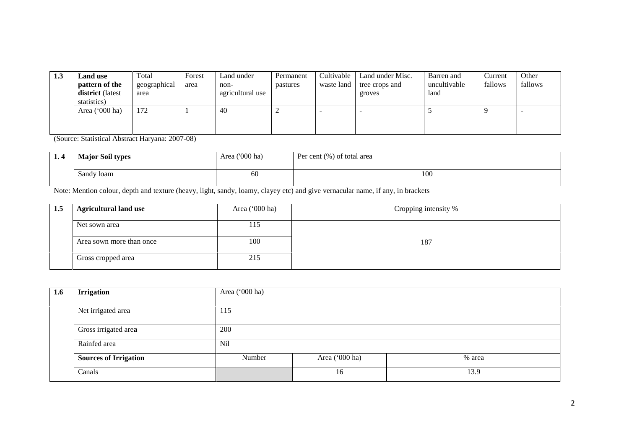| 1.3 | <b>Land use</b>         | Total        | Forest | Land under       | Permanent | Cultivable | Land under Misc. | Barren and   | Current | Other   |
|-----|-------------------------|--------------|--------|------------------|-----------|------------|------------------|--------------|---------|---------|
|     | pattern of the          | geographical | area   | non-             | pastures  | waste land | tree crops and   | uncultivable | fallows | fallows |
|     | district (latest        | area         |        | agricultural use |           |            | groves           | land         |         |         |
|     | statistics)             |              |        |                  |           |            |                  |              |         |         |
|     | Area $(000 \text{ ha})$ | 172          |        | 40               | ∼         |            |                  |              |         |         |
|     |                         |              |        |                  |           |            |                  |              |         |         |
|     |                         |              |        |                  |           |            |                  |              |         |         |

(Source: Statistical Abstract Haryana: 2007-08)

| <b>L. T</b> | <b>Major Soil types</b> | Area ('000 ha) | Per cent (%) of total area |     |
|-------------|-------------------------|----------------|----------------------------|-----|
|             | Sandy loam              | 60             |                            | 100 |

Note: Mention colour, depth and texture (heavy, light, sandy, loamy, clayey etc) and give vernacular name, if any, in brackets

| 1.5 | <b>Agricultural land use</b> | Area ('000 ha) | Cropping intensity % |
|-----|------------------------------|----------------|----------------------|
|     | Net sown area                | 115            |                      |
|     | Area sown more than once     | 100            | 187                  |
|     | Gross cropped area           | 215            |                      |

| 1.6 | <b>Irrigation</b>            | Area ('000 ha)  |                |        |  |  |  |
|-----|------------------------------|-----------------|----------------|--------|--|--|--|
|     |                              |                 |                |        |  |  |  |
|     | Net irrigated area           | 115             |                |        |  |  |  |
|     |                              |                 |                |        |  |  |  |
|     | Gross irrigated area         | 200             |                |        |  |  |  |
|     | Rainfed area                 | N <sub>il</sub> |                |        |  |  |  |
|     | <b>Sources of Irrigation</b> | Number          | Area ('000 ha) | % area |  |  |  |
|     | Canals                       |                 | 16             | 13.9   |  |  |  |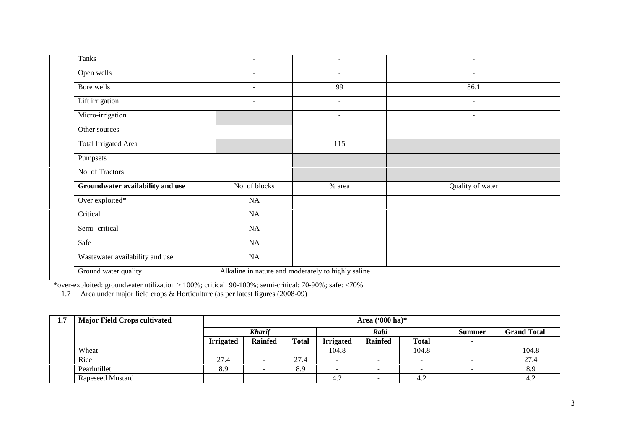| Tanks                            | $\overline{\phantom{a}}$                           | $\sim$                   | $\sim$           |  |  |  |  |
|----------------------------------|----------------------------------------------------|--------------------------|------------------|--|--|--|--|
| Open wells                       | $\overline{\phantom{a}}$                           | $\sim$                   | $\sim$           |  |  |  |  |
| Bore wells                       | $\sim$                                             | 99                       | 86.1             |  |  |  |  |
| Lift irrigation                  | $\blacksquare$                                     | $\sim$                   | $\sim$           |  |  |  |  |
| Micro-irrigation                 |                                                    | $\overline{\phantom{a}}$ | $\sim$           |  |  |  |  |
| Other sources                    | $\overline{\phantom{a}}$                           | $\overline{\phantom{a}}$ | $\sim$           |  |  |  |  |
| <b>Total Irrigated Area</b>      |                                                    | 115                      |                  |  |  |  |  |
| Pumpsets                         |                                                    |                          |                  |  |  |  |  |
| No. of Tractors                  |                                                    |                          |                  |  |  |  |  |
| Groundwater availability and use | No. of blocks                                      | % area                   | Quality of water |  |  |  |  |
| Over exploited*                  | NA                                                 |                          |                  |  |  |  |  |
| Critical                         | NA                                                 |                          |                  |  |  |  |  |
| Semi-critical                    | NA                                                 |                          |                  |  |  |  |  |
| Safe                             | NA                                                 |                          |                  |  |  |  |  |
| Wastewater availability and use  | NA                                                 |                          |                  |  |  |  |  |
| Ground water quality             | Alkaline in nature and moderately to highly saline |                          |                  |  |  |  |  |

\*over-exploited: groundwater utilization > 100%; critical: 90-100%; semi-critical: 70-90%; safe: <70%

1.7 Area under major field crops & Horticulture (as per latest figures (2008-09)

| 1.7 | <b>Major Field Crops cultivated</b> |                  | Area $(900 \text{ ha})^*$ |                          |                          |                          |              |  |                    |  |
|-----|-------------------------------------|------------------|---------------------------|--------------------------|--------------------------|--------------------------|--------------|--|--------------------|--|
|     |                                     |                  | Rabi<br><b>Kharif</b>     |                          |                          |                          |              |  | <b>Grand Total</b> |  |
|     |                                     | <b>Irrigated</b> | <b>Rainfed</b>            | <b>Total</b>             | <b>Irrigated</b>         | <b>Rainfed</b>           | <b>Total</b> |  |                    |  |
|     | Wheat                               |                  |                           | $\overline{\phantom{a}}$ | 104.8                    | $\overline{\phantom{0}}$ | 104.8        |  | 104.8              |  |
|     | Rice                                | 27.4             |                           | 27.4                     | $\overline{\phantom{a}}$ | $\overline{\phantom{a}}$ |              |  | 27.4               |  |
|     | Pearlmillet                         | 8.9              |                           | 8.9                      | -                        | -                        |              |  | 8.9                |  |
|     | Rapeseed Mustard                    |                  |                           |                          | 4.2                      | $\overline{\phantom{a}}$ | 4.2          |  | 4.2                |  |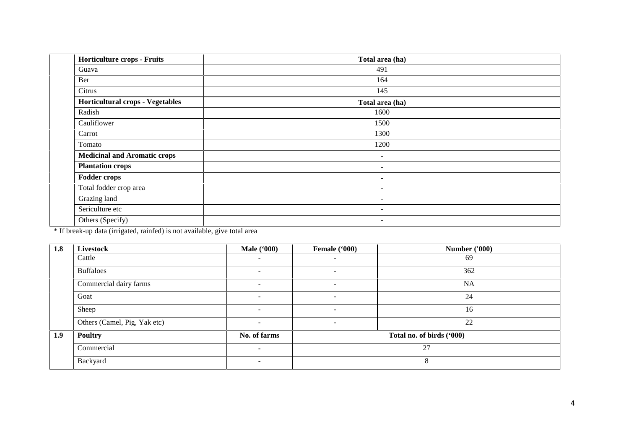| <b>Horticulture crops - Fruits</b>      | Total area (ha)          |
|-----------------------------------------|--------------------------|
| Guava                                   | 491                      |
| Ber                                     | 164                      |
| Citrus                                  | 145                      |
| <b>Horticultural crops - Vegetables</b> | Total area (ha)          |
| Radish                                  | 1600                     |
| Cauliflower                             | 1500                     |
| Carrot                                  | 1300                     |
| Tomato                                  | 1200                     |
| <b>Medicinal and Aromatic crops</b>     | $\blacksquare$           |
| <b>Plantation crops</b>                 | ۰.                       |
| <b>Fodder crops</b>                     | $\blacksquare$           |
| Total fodder crop area                  | $\sim$                   |
| Grazing land                            | $\overline{\phantom{a}}$ |
| Sericulture etc                         | -                        |
| Others (Specify)                        | $\overline{\phantom{a}}$ |

\* If break-up data (irrigated, rainfed) is not available, give total area

| 1.8 | <b>Livestock</b>             | <b>Male</b> ('000)       | Female ('000)            | <b>Number ('000)</b>      |
|-----|------------------------------|--------------------------|--------------------------|---------------------------|
|     | Cattle                       | -                        |                          | 69                        |
|     | <b>Buffaloes</b>             | $\overline{\phantom{a}}$ | $\overline{\phantom{a}}$ | 362                       |
|     | Commercial dairy farms       | $\sim$                   | $\overline{\phantom{a}}$ | <b>NA</b>                 |
|     | Goat                         | -                        | $\overline{\phantom{a}}$ | 24                        |
|     | Sheep                        | $\overline{\phantom{a}}$ | $\overline{\phantom{a}}$ | 16                        |
|     | Others (Camel, Pig, Yak etc) | $\sim$                   | $\overline{\phantom{a}}$ | 22                        |
| 1.9 | <b>Poultry</b>               | No. of farms             |                          | Total no. of birds ('000) |
|     | Commercial                   |                          |                          | 27                        |
|     | Backyard                     |                          |                          |                           |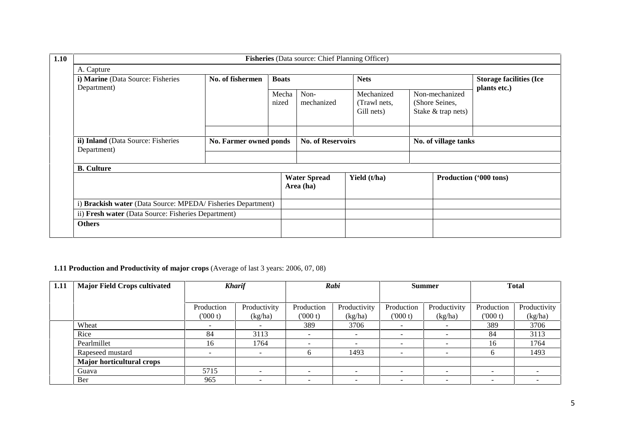|                                                             |                        |                | <b>Fisheries</b> (Data source: Chief Planning Officer) |                                          |                                                        |                                                |  |
|-------------------------------------------------------------|------------------------|----------------|--------------------------------------------------------|------------------------------------------|--------------------------------------------------------|------------------------------------------------|--|
| A. Capture                                                  |                        |                |                                                        |                                          |                                                        |                                                |  |
| i) Marine (Data Source: Fisheries<br>Department)            | No. of fishermen       | <b>Boats</b>   |                                                        | <b>Nets</b>                              |                                                        | <b>Storage facilities (Ice</b><br>plants etc.) |  |
|                                                             |                        | Mecha<br>nized | Non-<br>mechanized                                     | Mechanized<br>(Trawl nets,<br>Gill nets) | Non-mechanized<br>(Shore Seines,<br>Stake & trap nets) |                                                |  |
| ii) Inland (Data Source: Fisheries<br>Department)           | No. Farmer owned ponds |                | <b>No. of Reservoirs</b>                               | No. of village tanks                     |                                                        |                                                |  |
| <b>B.</b> Culture                                           |                        |                |                                                        |                                          |                                                        |                                                |  |
|                                                             |                        |                | <b>Water Spread</b><br>Area (ha)                       | Yield (t/ha)                             |                                                        | Production ('000 tons)                         |  |
| i) Brackish water (Data Source: MPEDA/Fisheries Department) |                        |                |                                                        |                                          |                                                        |                                                |  |
| ii) Fresh water (Data Source: Fisheries Department)         |                        |                |                                                        |                                          |                                                        |                                                |  |
| <b>Others</b>                                               |                        |                |                                                        |                                          |                                                        |                                                |  |

## **1.11 Production and Productivity of major crops** (Average of last 3 years: 2006, 07, 08)

| 1.11 | <b>Major Field Crops cultivated</b> | <b>Kharif</b>            |                          |                          | Rabi                     |                          | <b>Summer</b>            | <b>Total</b>             |                          |
|------|-------------------------------------|--------------------------|--------------------------|--------------------------|--------------------------|--------------------------|--------------------------|--------------------------|--------------------------|
|      |                                     |                          |                          |                          |                          |                          |                          |                          |                          |
|      |                                     | Production               | Productivity             | Production               | Productivity             | Production               | Productivity             | Production               | Productivity             |
|      |                                     | (000 t)                  | (kg/ha)                  | (000 t)                  | (kg/ha)                  | (000 t)                  | (kg/ha)                  | (000 t)                  | (kg/ha)                  |
|      | Wheat                               | $\overline{\phantom{a}}$ |                          | 389                      | 3706                     | $\overline{\phantom{a}}$ |                          | 389                      | 3706                     |
|      | Rice                                | 84                       | 3113                     | $\overline{\phantom{a}}$ |                          | -                        |                          | 84                       | 3113                     |
|      | Pearlmillet                         | 16                       | 1764                     | $\overline{\phantom{a}}$ | $\overline{\phantom{0}}$ | $\sim$                   | $\overline{\phantom{a}}$ | 16                       | 1764                     |
|      | Rapeseed mustard                    | $\overline{\phantom{a}}$ | $\overline{\phantom{0}}$ | b                        | 1493                     | $\sim$                   | $\overline{\phantom{a}}$ |                          | 1493                     |
|      | <b>Major horticultural crops</b>    |                          |                          |                          |                          |                          |                          |                          |                          |
|      | Guava                               | 5715                     |                          | $\overline{\phantom{0}}$ |                          | $\overline{\phantom{a}}$ |                          |                          | $\overline{\phantom{0}}$ |
|      | Ber                                 | 965                      | $\overline{\phantom{a}}$ | $\overline{\phantom{a}}$ | $\overline{\phantom{a}}$ | ۰                        | $\overline{\phantom{a}}$ | $\overline{\phantom{a}}$ | $\overline{\phantom{a}}$ |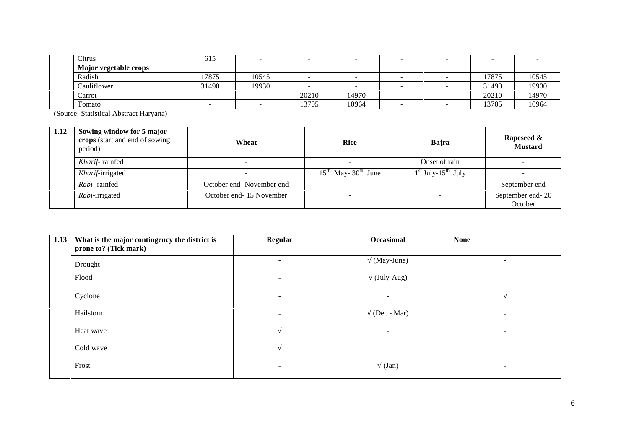| Citrus                | 01 <sub>2</sub> |       |       |       |   |       |       |
|-----------------------|-----------------|-------|-------|-------|---|-------|-------|
| Major vegetable crops |                 |       |       |       |   |       |       |
| Radish                | 17875           | 10545 |       |       | - | 17875 | 10545 |
| Cauliflower           | 31490           | 19930 |       |       | - | 31490 | 19930 |
| Carrot                |                 |       | 20210 | 14970 | - | 20210 | 14970 |
| Tomato                |                 |       | 13705 | 10964 | - | 13705 | 10964 |

(Source: Statistical Abstract Haryana)

| 1.12 | Sowing window for 5 major<br>crops (start and end of sowing<br>period) | Wheat                    | <b>Rice</b>                   | Bajra                   | Rapeseed &<br><b>Mustard</b> |
|------|------------------------------------------------------------------------|--------------------------|-------------------------------|-------------------------|------------------------------|
|      | Kharif-rainfed                                                         |                          |                               | Onset of rain           |                              |
|      | Kharif-irrigated                                                       |                          | $15^{th}$ May- $30^{th}$ June | $1st$ July- $15th$ July |                              |
|      | Rabi-rainfed                                                           | October end-November end |                               |                         | September end                |
|      | Rabi-irrigated                                                         | October end-15 November  |                               |                         | September end-20<br>October  |

| 1.13 | What is the major contingency the district is<br>prone to? (Tick mark) | <b>Regular</b> | Occasional  | <b>None</b>              |
|------|------------------------------------------------------------------------|----------------|-------------|--------------------------|
|      | Drought                                                                | $\blacksquare$ | (May-June)  | $\blacksquare$           |
|      | Flood                                                                  | $\blacksquare$ | (July-Aug)  | $\overline{\phantom{a}}$ |
|      | Cyclone                                                                | $\blacksquare$ | -           |                          |
|      | Hailstorm                                                              | $\blacksquare$ | (Dec - Mar) | ٠                        |
|      | Heat wave                                                              |                |             | $\blacksquare$           |
|      | Cold wave                                                              |                | ۰           | ٠                        |
|      | Frost                                                                  | ٠              | (Jan)       | $\blacksquare$           |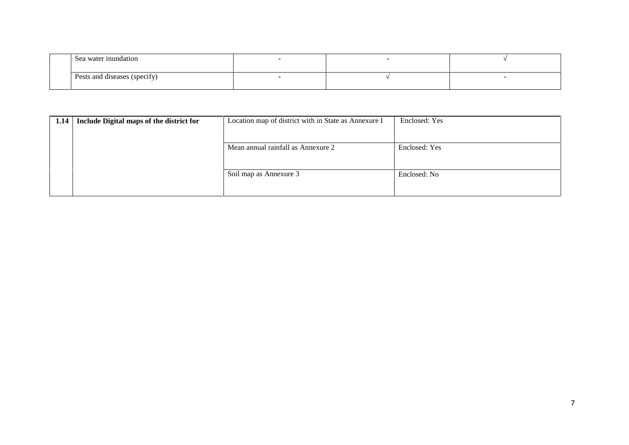| Sea water inundation                                              |  |  |
|-------------------------------------------------------------------|--|--|
| $\cdot$ $\sim$<br>$\cdot$ $\cdot$<br>Pests and diseases (specify) |  |  |

| 1.14   Include Digital maps of the district for | Location map of district with in State as Annexure I | Enclosed: Yes |
|-------------------------------------------------|------------------------------------------------------|---------------|
|                                                 |                                                      |               |
|                                                 |                                                      |               |
|                                                 | Mean annual rainfall as Annexure 2                   | Enclosed: Yes |
|                                                 |                                                      |               |
|                                                 |                                                      |               |
|                                                 | Soil map as Annexure 3                               | Enclosed: No  |
|                                                 |                                                      |               |
|                                                 |                                                      |               |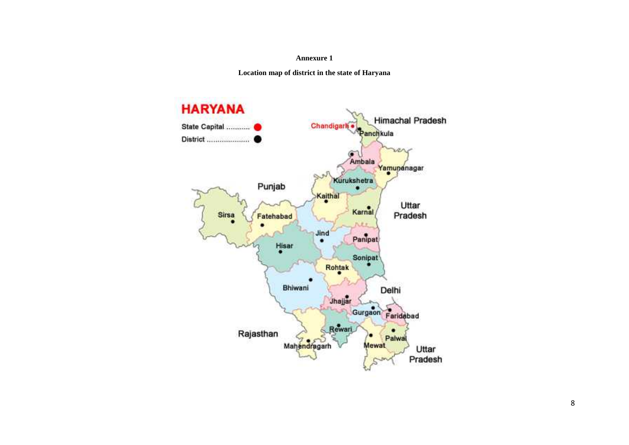#### **Annexure 1**

**Location map of district in the state of Haryana**

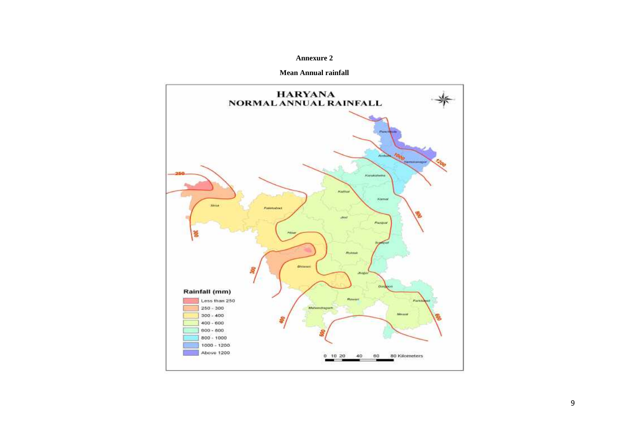#### **Annexure 2**

#### **Mean Annual rainfall**

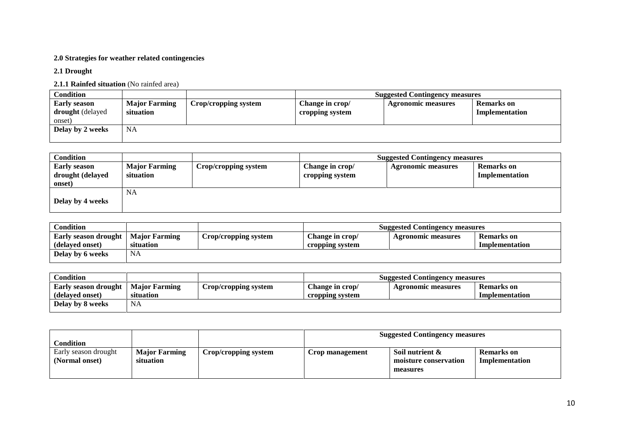#### **2.0 Strategies for weather related contingencies**

#### **2.1 Drought**

### **2.1.1 Rainfed situation** (No rainfed area)

| Condition                                         |                                   |                      |                                    | <b>Suggested Contingency measures</b> |                              |
|---------------------------------------------------|-----------------------------------|----------------------|------------------------------------|---------------------------------------|------------------------------|
| <b>Early season</b><br>drought (delayed<br>onset) | <b>Major Farming</b><br>situation | Crop/cropping system | Change in crop/<br>cropping system | <b>Agronomic measures</b>             | Remarks on<br>Implementation |
| Delay by 2 weeks                                  | <b>NA</b>                         |                      |                                    |                                       |                              |

| <b>Condition</b>    |                      |                      |                 | <b>Suggested Contingency measures</b> |                   |
|---------------------|----------------------|----------------------|-----------------|---------------------------------------|-------------------|
| <b>Early season</b> | <b>Major Farming</b> | Crop/cropping system | Change in crop/ | <b>Agronomic measures</b>             | <b>Remarks</b> on |
| drought (delayed    | situation            |                      | cropping system |                                       | Implementation    |
| onset)              |                      |                      |                 |                                       |                   |
|                     | NA                   |                      |                 |                                       |                   |
| Delay by 4 weeks    |                      |                      |                 |                                       |                   |
|                     |                      |                      |                 |                                       |                   |

|                      |                 | <b>Suggested Contingency measures</b> |                |  |
|----------------------|-----------------|---------------------------------------|----------------|--|
| Crop/cropping system | Change in crop/ | <b>Agronomic measures</b>             | Remarks on     |  |
|                      | cropping system |                                       | Implementation |  |
|                      |                 |                                       |                |  |
| <b>Major Farming</b> |                 |                                       |                |  |

| <b>Condition</b>            |                      | <b>Suggested Contingency measures</b> |                 |                           |                |
|-----------------------------|----------------------|---------------------------------------|-----------------|---------------------------|----------------|
| <b>Early season drought</b> | <b>Major Farming</b> | Crop/cropping system                  | Change in crop/ | <b>Agronomic measures</b> | Remarks on     |
| (delayed onset)             | situation            |                                       | cropping system |                           | Implementation |
| Delay by 8 weeks            | NA                   |                                       |                 |                           |                |

| Condition                              |                                   |                      |                 | <b>Suggested Contingency measures</b>                |                                     |  |
|----------------------------------------|-----------------------------------|----------------------|-----------------|------------------------------------------------------|-------------------------------------|--|
| Early season drought<br>(Normal onset) | <b>Major Farming</b><br>situation | Crop/cropping system | Crop management | Soil nutrient &<br>moisture conservation<br>measures | <b>Remarks</b> on<br>Implementation |  |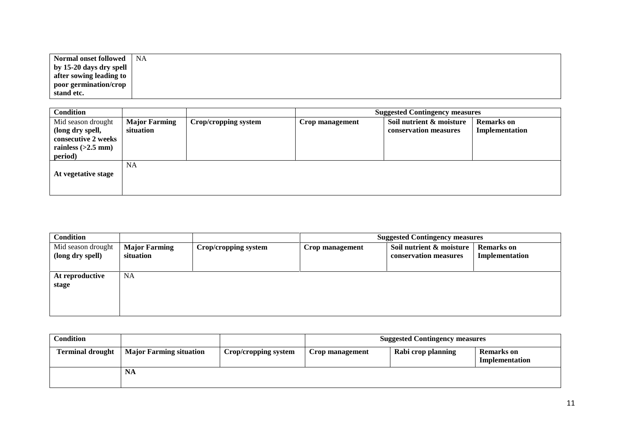| Normal onset followed   | NA |
|-------------------------|----|
| by 15-20 days dry spell |    |
| after sowing leading to |    |
| poor germination/crop   |    |
| stand etc.              |    |

| <b>Condition</b>                                                                                 |                                   |                      | <b>Suggested Contingency measures</b> |                                                   |                                     |
|--------------------------------------------------------------------------------------------------|-----------------------------------|----------------------|---------------------------------------|---------------------------------------------------|-------------------------------------|
| Mid season drought<br>(long dry spell,<br>consecutive 2 weeks<br>rainless $(>2.5$ mm)<br>period) | <b>Major Farming</b><br>situation | Crop/cropping system | Crop management                       | Soil nutrient & moisture<br>conservation measures | <b>Remarks</b> on<br>Implementation |
| At vegetative stage                                                                              | <b>NA</b>                         |                      |                                       |                                                   |                                     |

| Condition                              |                                   |                      | <b>Suggested Contingency measures</b> |                                                   |                                     |
|----------------------------------------|-----------------------------------|----------------------|---------------------------------------|---------------------------------------------------|-------------------------------------|
| Mid season drought<br>(long dry spell) | <b>Major Farming</b><br>situation | Crop/cropping system | Crop management                       | Soil nutrient & moisture<br>conservation measures | <b>Remarks</b> on<br>Implementation |
| At reproductive<br>stage               | NA.                               |                      |                                       |                                                   |                                     |

| <b>Condition</b>        |                                |                      | <b>Suggested Contingency measures</b> |                    |                                     |
|-------------------------|--------------------------------|----------------------|---------------------------------------|--------------------|-------------------------------------|
| <b>Terminal drought</b> | <b>Major Farming situation</b> | Crop/cropping system | Crop management                       | Rabi crop planning | <b>Remarks</b> on<br>Implementation |
|                         | NA                             |                      |                                       |                    |                                     |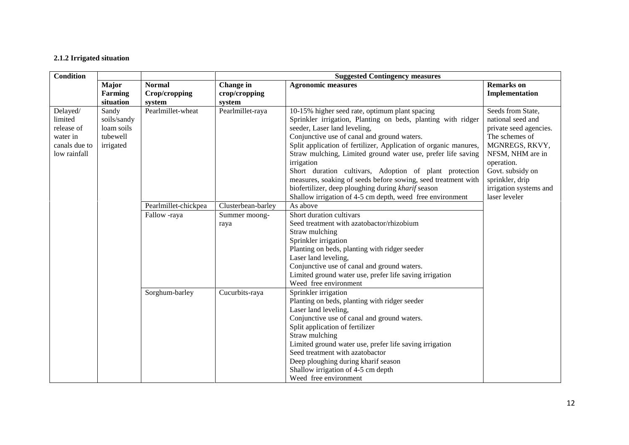#### **2.1.2 Irrigated situation**

| <b>Condition</b>                                                                                                                              |           |                                          | <b>Suggested Contingency measures</b> |                                                                                                                                                                                                                                                                                                                                                                                                                                                                                                                                                                                               |                                                                                                                                                                                                                          |  |
|-----------------------------------------------------------------------------------------------------------------------------------------------|-----------|------------------------------------------|---------------------------------------|-----------------------------------------------------------------------------------------------------------------------------------------------------------------------------------------------------------------------------------------------------------------------------------------------------------------------------------------------------------------------------------------------------------------------------------------------------------------------------------------------------------------------------------------------------------------------------------------------|--------------------------------------------------------------------------------------------------------------------------------------------------------------------------------------------------------------------------|--|
| Major<br>Farming                                                                                                                              | situation | <b>Normal</b><br>Crop/cropping<br>system | Change in<br>crop/cropping<br>system  | <b>Agronomic measures</b>                                                                                                                                                                                                                                                                                                                                                                                                                                                                                                                                                                     | <b>Remarks</b> on<br>Implementation                                                                                                                                                                                      |  |
| Delayed/<br>Sandy<br>limited<br>soils/sandy<br>loam soils<br>release of<br>tubewell<br>water in<br>canals due to<br>irrigated<br>low rainfall |           | Pearlmillet-wheat                        | Pearlmillet-raya                      | 10-15% higher seed rate, optimum plant spacing<br>Sprinkler irrigation, Planting on beds, planting with ridger<br>seeder, Laser land leveling,<br>Conjunctive use of canal and ground waters.<br>Split application of fertilizer, Application of organic manures,<br>Straw mulching, Limited ground water use, prefer life saving<br>irrigation<br>Short duration cultivars, Adoption of plant protection<br>measures, soaking of seeds before sowing, seed treatment with<br>biofertilizer, deep ploughing during kharif season<br>Shallow irrigation of 4-5 cm depth, weed free environment | Seeds from State,<br>national seed and<br>private seed agencies.<br>The schemes of<br>MGNREGS, RKVY,<br>NFSM, NHM are in<br>operation.<br>Govt. subsidy on<br>sprinkler, drip<br>irrigation systems and<br>laser leveler |  |
|                                                                                                                                               |           | Pearlmillet-chickpea                     | Clusterbean-barley                    | As above                                                                                                                                                                                                                                                                                                                                                                                                                                                                                                                                                                                      |                                                                                                                                                                                                                          |  |
|                                                                                                                                               |           | Fallow -raya                             | Summer moong-<br>raya                 | Short duration cultivars<br>Seed treatment with azatobactor/rhizobium<br>Straw mulching<br>Sprinkler irrigation<br>Planting on beds, planting with ridger seeder<br>Laser land leveling,<br>Conjunctive use of canal and ground waters.<br>Limited ground water use, prefer life saving irrigation<br>Weed free environment                                                                                                                                                                                                                                                                   |                                                                                                                                                                                                                          |  |
|                                                                                                                                               |           | Sorghum-barley                           | Cucurbits-raya                        | Sprinkler irrigation<br>Planting on beds, planting with ridger seeder<br>Laser land leveling,<br>Conjunctive use of canal and ground waters.<br>Split application of fertilizer<br>Straw mulching<br>Limited ground water use, prefer life saving irrigation<br>Seed treatment with azatobactor<br>Deep ploughing during kharif season<br>Shallow irrigation of 4-5 cm depth<br>Weed free environment                                                                                                                                                                                         |                                                                                                                                                                                                                          |  |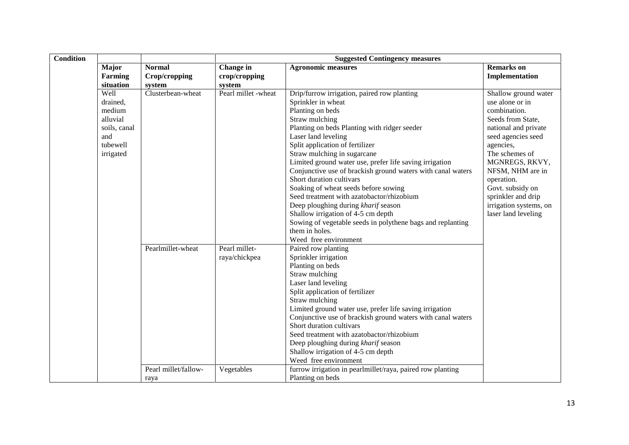| <b>Condition</b> |                                                                                 | <b>Suggested Contingency measures</b>    |                                      |                                                                                                                                                                                                                                                                                                                                                                                                                                                                                                                                                                                                                                                                                   |                                                                                                                                                                                                                                                                                                          |  |  |
|------------------|---------------------------------------------------------------------------------|------------------------------------------|--------------------------------------|-----------------------------------------------------------------------------------------------------------------------------------------------------------------------------------------------------------------------------------------------------------------------------------------------------------------------------------------------------------------------------------------------------------------------------------------------------------------------------------------------------------------------------------------------------------------------------------------------------------------------------------------------------------------------------------|----------------------------------------------------------------------------------------------------------------------------------------------------------------------------------------------------------------------------------------------------------------------------------------------------------|--|--|
|                  | Major<br>Farming<br>situation                                                   | <b>Normal</b><br>Crop/cropping<br>system | Change in<br>crop/cropping<br>system | <b>Agronomic measures</b>                                                                                                                                                                                                                                                                                                                                                                                                                                                                                                                                                                                                                                                         | <b>Remarks</b> on<br>Implementation                                                                                                                                                                                                                                                                      |  |  |
| and              | Well<br>drained,<br>medium<br>alluvial<br>soils, canal<br>tubewell<br>irrigated | Clusterbean-wheat                        | Pearl millet -wheat                  | Drip/furrow irrigation, paired row planting<br>Sprinkler in wheat<br>Planting on beds<br>Straw mulching<br>Planting on beds Planting with ridger seeder<br>Laser land leveling<br>Split application of fertilizer<br>Straw mulching in sugarcane<br>Limited ground water use, prefer life saving irrigation<br>Conjunctive use of brackish ground waters with canal waters<br>Short duration cultivars<br>Soaking of wheat seeds before sowing<br>Seed treatment with azatobactor/rhizobium<br>Deep ploughing during kharif season<br>Shallow irrigation of 4-5 cm depth<br>Sowing of vegetable seeds in polythene bags and replanting<br>them in holes.<br>Weed free environment | Shallow ground water<br>use alone or in<br>combination.<br>Seeds from State,<br>national and private<br>seed agencies seed<br>agencies,<br>The schemes of<br>MGNREGS, RKVY,<br>NFSM, NHM are in<br>operation.<br>Govt. subsidy on<br>sprinkler and drip<br>irrigation systems, on<br>laser land leveling |  |  |
|                  |                                                                                 | Pearlmillet-wheat                        | Pearl millet-<br>raya/chickpea       | Paired row planting<br>Sprinkler irrigation<br>Planting on beds<br>Straw mulching<br>Laser land leveling<br>Split application of fertilizer<br>Straw mulching<br>Limited ground water use, prefer life saving irrigation<br>Conjunctive use of brackish ground waters with canal waters<br>Short duration cultivars<br>Seed treatment with azatobactor/rhizobium<br>Deep ploughing during kharif season<br>Shallow irrigation of 4-5 cm depth<br>Weed free environment                                                                                                                                                                                                            |                                                                                                                                                                                                                                                                                                          |  |  |
|                  |                                                                                 | Pearl millet/fallow-<br>raya             | Vegetables                           | furrow irrigation in pearlmillet/raya, paired row planting<br>Planting on beds                                                                                                                                                                                                                                                                                                                                                                                                                                                                                                                                                                                                    |                                                                                                                                                                                                                                                                                                          |  |  |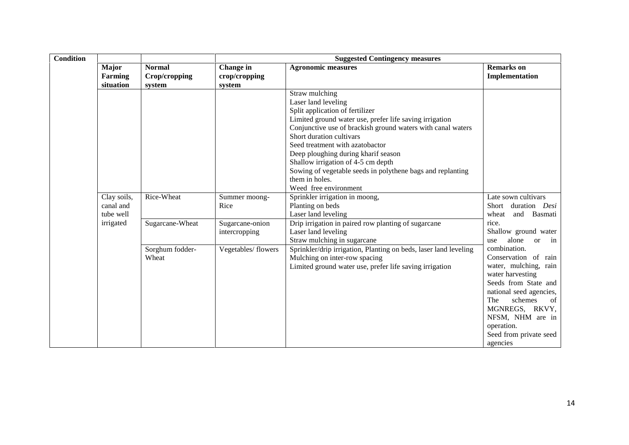| <b>Condition</b> |                                                    |                                          | <b>Suggested Contingency measures</b> |                                                                                                                                                                                                                                                                                                                                                                                                                                                         |                                                                                                                                                                                                                                                        |  |  |
|------------------|----------------------------------------------------|------------------------------------------|---------------------------------------|---------------------------------------------------------------------------------------------------------------------------------------------------------------------------------------------------------------------------------------------------------------------------------------------------------------------------------------------------------------------------------------------------------------------------------------------------------|--------------------------------------------------------------------------------------------------------------------------------------------------------------------------------------------------------------------------------------------------------|--|--|
|                  | Major<br>Farming<br>situation                      | <b>Normal</b><br>Crop/cropping<br>system | Change in<br>crop/cropping<br>system  | <b>Agronomic measures</b>                                                                                                                                                                                                                                                                                                                                                                                                                               | <b>Remarks</b> on<br>Implementation                                                                                                                                                                                                                    |  |  |
|                  |                                                    |                                          |                                       | Straw mulching<br>Laser land leveling<br>Split application of fertilizer<br>Limited ground water use, prefer life saving irrigation<br>Conjunctive use of brackish ground waters with canal waters<br>Short duration cultivars<br>Seed treatment with azatobactor<br>Deep ploughing during kharif season<br>Shallow irrigation of 4-5 cm depth<br>Sowing of vegetable seeds in polythene bags and replanting<br>them in holes.<br>Weed free environment |                                                                                                                                                                                                                                                        |  |  |
|                  | Clay soils,<br>canal and<br>tube well<br>irrigated | Rice-Wheat                               | Summer moong-<br>Rice                 | Sprinkler irrigation in moong,<br>Planting on beds<br>Laser land leveling                                                                                                                                                                                                                                                                                                                                                                               | Late sown cultivars<br>duration Desi<br>Short<br>and Basmati<br>wheat<br>rice.                                                                                                                                                                         |  |  |
|                  |                                                    | Sugarcane-Wheat                          | Sugarcane-onion<br>intercropping      | Drip irrigation in paired row planting of sugarcane<br>Laser land leveling<br>Straw mulching in sugarcane                                                                                                                                                                                                                                                                                                                                               | Shallow ground water<br>alone<br>or in<br>use                                                                                                                                                                                                          |  |  |
|                  |                                                    | Sorghum fodder-<br>Wheat                 | Vegetables/flowers                    | Sprinkler/drip irrigation, Planting on beds, laser land leveling<br>Mulching on inter-row spacing<br>Limited ground water use, prefer life saving irrigation                                                                                                                                                                                                                                                                                            | combination.<br>Conservation of rain<br>water, mulching, rain<br>water harvesting<br>Seeds from State and<br>national seed agencies,<br>The<br>schemes<br>of<br>MGNREGS, RKVY,<br>NFSM, NHM are in<br>operation.<br>Seed from private seed<br>agencies |  |  |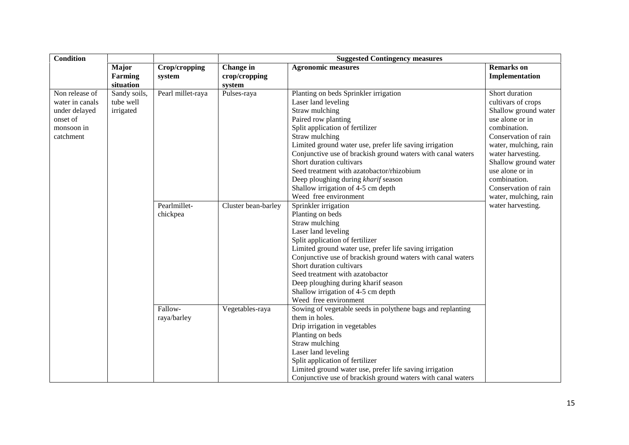| <b>Condition</b> |                                      |                         | <b>Suggested Contingency measures</b> |                                                             |                                     |  |
|------------------|--------------------------------------|-------------------------|---------------------------------------|-------------------------------------------------------------|-------------------------------------|--|
|                  | <b>Major</b><br>Farming<br>situation | Crop/cropping<br>system | Change in<br>crop/cropping<br>system  | <b>Agronomic measures</b>                                   | <b>Remarks</b> on<br>Implementation |  |
| Non release of   | Sandy soils,                         | Pearl millet-raya       | Pulses-raya                           | Planting on beds Sprinkler irrigation                       | Short duration                      |  |
| water in canals  | tube well                            |                         |                                       | Laser land leveling                                         | cultivars of crops                  |  |
| under delayed    | irrigated                            |                         |                                       | Straw mulching                                              | Shallow ground water                |  |
| onset of         |                                      |                         |                                       | Paired row planting                                         | use alone or in                     |  |
| monsoon in       |                                      |                         |                                       | Split application of fertilizer                             | combination.                        |  |
| catchment        |                                      |                         |                                       | Straw mulching                                              | Conservation of rain                |  |
|                  |                                      |                         |                                       | Limited ground water use, prefer life saving irrigation     | water, mulching, rain               |  |
|                  |                                      |                         |                                       | Conjunctive use of brackish ground waters with canal waters | water harvesting.                   |  |
|                  |                                      |                         |                                       | Short duration cultivars                                    | Shallow ground water                |  |
|                  |                                      |                         |                                       | Seed treatment with azatobactor/rhizobium                   | use alone or in                     |  |
|                  |                                      |                         |                                       | Deep ploughing during kharif season                         | combination.                        |  |
|                  |                                      |                         |                                       | Shallow irrigation of 4-5 cm depth                          | Conservation of rain                |  |
|                  |                                      |                         |                                       | Weed free environment                                       | water, mulching, rain               |  |
|                  |                                      | Pearlmillet-            | Cluster bean-barley                   | Sprinkler irrigation                                        | water harvesting.                   |  |
|                  |                                      | chickpea                |                                       | Planting on beds                                            |                                     |  |
|                  |                                      |                         |                                       | Straw mulching                                              |                                     |  |
|                  |                                      |                         |                                       | Laser land leveling                                         |                                     |  |
|                  |                                      |                         |                                       | Split application of fertilizer                             |                                     |  |
|                  |                                      |                         |                                       | Limited ground water use, prefer life saving irrigation     |                                     |  |
|                  |                                      |                         |                                       | Conjunctive use of brackish ground waters with canal waters |                                     |  |
|                  |                                      |                         |                                       | Short duration cultivars                                    |                                     |  |
|                  |                                      |                         |                                       | Seed treatment with azatobactor                             |                                     |  |
|                  |                                      |                         |                                       | Deep ploughing during kharif season                         |                                     |  |
|                  |                                      |                         |                                       | Shallow irrigation of 4-5 cm depth                          |                                     |  |
|                  |                                      |                         |                                       | Weed free environment                                       |                                     |  |
|                  |                                      | Fallow-                 | Vegetables-raya                       | Sowing of vegetable seeds in polythene bags and replanting  |                                     |  |
|                  |                                      | raya/barley             |                                       | them in holes.                                              |                                     |  |
|                  |                                      |                         |                                       | Drip irrigation in vegetables                               |                                     |  |
|                  |                                      |                         |                                       | Planting on beds                                            |                                     |  |
|                  |                                      |                         |                                       | Straw mulching                                              |                                     |  |
|                  |                                      |                         |                                       | Laser land leveling                                         |                                     |  |
|                  |                                      |                         |                                       | Split application of fertilizer                             |                                     |  |
|                  |                                      |                         |                                       | Limited ground water use, prefer life saving irrigation     |                                     |  |
|                  |                                      |                         |                                       | Conjunctive use of brackish ground waters with canal waters |                                     |  |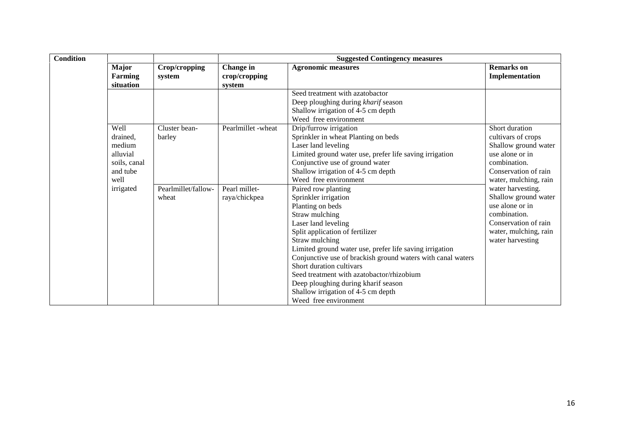| <b>Condition</b> |                                                                            |                              |                                      | <b>Suggested Contingency measures</b>                                                                                                                                                                                                                                                                                                                                                                                                                                  |                                                                                                                                                   |  |  |
|------------------|----------------------------------------------------------------------------|------------------------------|--------------------------------------|------------------------------------------------------------------------------------------------------------------------------------------------------------------------------------------------------------------------------------------------------------------------------------------------------------------------------------------------------------------------------------------------------------------------------------------------------------------------|---------------------------------------------------------------------------------------------------------------------------------------------------|--|--|
|                  | <b>Major</b><br>Farming<br>situation                                       | Crop/cropping<br>system      | Change in<br>crop/cropping<br>system | <b>Agronomic measures</b>                                                                                                                                                                                                                                                                                                                                                                                                                                              | <b>Remarks</b> on<br>Implementation                                                                                                               |  |  |
|                  |                                                                            |                              |                                      | Seed treatment with azatobactor<br>Deep ploughing during kharif season<br>Shallow irrigation of 4-5 cm depth<br>Weed free environment                                                                                                                                                                                                                                                                                                                                  |                                                                                                                                                   |  |  |
|                  | Well<br>drained,<br>medium<br>alluvial<br>soils, canal<br>and tube<br>well | Cluster bean-<br>barley      | Pearlmillet -wheat                   | Drip/furrow irrigation<br>Sprinkler in wheat Planting on beds<br>Laser land leveling<br>Limited ground water use, prefer life saving irrigation<br>Conjunctive use of ground water<br>Shallow irrigation of 4-5 cm depth<br>Weed free environment                                                                                                                                                                                                                      | Short duration<br>cultivars of crops<br>Shallow ground water<br>use alone or in<br>combination.<br>Conservation of rain<br>water, mulching, rain  |  |  |
|                  | irrigated                                                                  | Pearlmillet/fallow-<br>wheat | Pearl millet-<br>raya/chickpea       | Paired row planting<br>Sprinkler irrigation<br>Planting on beds<br>Straw mulching<br>Laser land leveling<br>Split application of fertilizer<br>Straw mulching<br>Limited ground water use, prefer life saving irrigation<br>Conjunctive use of brackish ground waters with canal waters<br>Short duration cultivars<br>Seed treatment with azatobactor/rhizobium<br>Deep ploughing during kharif season<br>Shallow irrigation of 4-5 cm depth<br>Weed free environment | water harvesting.<br>Shallow ground water<br>use alone or in<br>combination.<br>Conservation of rain<br>water, mulching, rain<br>water harvesting |  |  |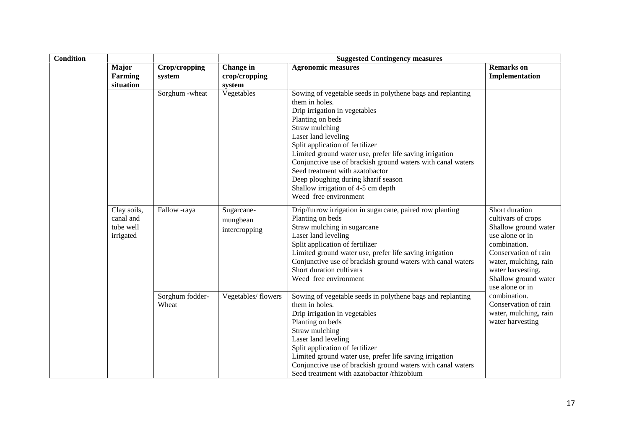| <b>Condition</b> |                                                    |                          | <b>Suggested Contingency measures</b>   |                                                                                                                                                                                                                                                                                                                                                                                                                                                                                  |                                                                                                                                                                                                                  |  |
|------------------|----------------------------------------------------|--------------------------|-----------------------------------------|----------------------------------------------------------------------------------------------------------------------------------------------------------------------------------------------------------------------------------------------------------------------------------------------------------------------------------------------------------------------------------------------------------------------------------------------------------------------------------|------------------------------------------------------------------------------------------------------------------------------------------------------------------------------------------------------------------|--|
|                  | <b>Major</b><br>Farming<br>situation               | Crop/cropping<br>system  | Change in<br>crop/cropping<br>system    | <b>Agronomic measures</b>                                                                                                                                                                                                                                                                                                                                                                                                                                                        | <b>Remarks</b> on<br>Implementation                                                                                                                                                                              |  |
|                  |                                                    | Sorghum - wheat          | Vegetables                              | Sowing of vegetable seeds in polythene bags and replanting<br>them in holes.<br>Drip irrigation in vegetables<br>Planting on beds<br>Straw mulching<br>Laser land leveling<br>Split application of fertilizer<br>Limited ground water use, prefer life saving irrigation<br>Conjunctive use of brackish ground waters with canal waters<br>Seed treatment with azatobactor<br>Deep ploughing during kharif season<br>Shallow irrigation of 4-5 cm depth<br>Weed free environment |                                                                                                                                                                                                                  |  |
|                  | Clay soils,<br>canal and<br>tube well<br>irrigated | Fallow -raya             | Sugarcane-<br>mungbean<br>intercropping | Drip/furrow irrigation in sugarcane, paired row planting<br>Planting on beds<br>Straw mulching in sugarcane<br>Laser land leveling<br>Split application of fertilizer<br>Limited ground water use, prefer life saving irrigation<br>Conjunctive use of brackish ground waters with canal waters<br>Short duration cultivars<br>Weed free environment                                                                                                                             | Short duration<br>cultivars of crops<br>Shallow ground water<br>use alone or in<br>combination.<br>Conservation of rain<br>water, mulching, rain<br>water harvesting.<br>Shallow ground water<br>use alone or in |  |
|                  |                                                    | Sorghum fodder-<br>Wheat | Vegetables/flowers                      | Sowing of vegetable seeds in polythene bags and replanting<br>them in holes.<br>Drip irrigation in vegetables<br>Planting on beds<br>Straw mulching<br>Laser land leveling<br>Split application of fertilizer<br>Limited ground water use, prefer life saving irrigation<br>Conjunctive use of brackish ground waters with canal waters<br>Seed treatment with azatobactor /rhizobium                                                                                            | combination.<br>Conservation of rain<br>water, mulching, rain<br>water harvesting                                                                                                                                |  |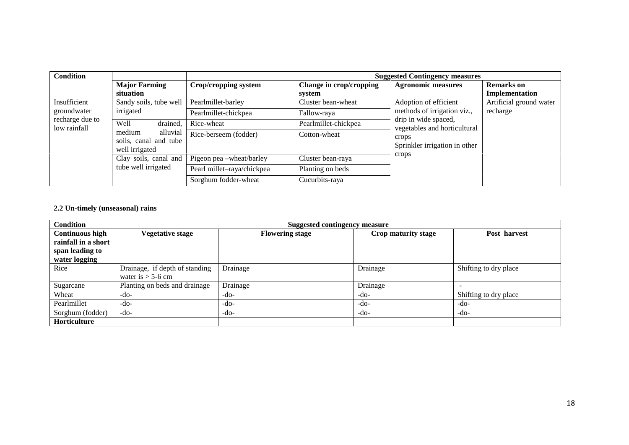| <b>Condition</b> |                                                                                                   |                            |                         | <b>Suggested Contingency measures</b>                                               |                         |
|------------------|---------------------------------------------------------------------------------------------------|----------------------------|-------------------------|-------------------------------------------------------------------------------------|-------------------------|
|                  | <b>Major Farming</b>                                                                              | Crop/cropping system       | Change in crop/cropping | <b>Agronomic measures</b>                                                           | <b>Remarks</b> on       |
|                  | situation                                                                                         |                            | system                  |                                                                                     | Implementation          |
| Insufficient     | Sandy soils, tube well                                                                            | Pearlmillet-barley         | Cluster bean-wheat      | Adoption of efficient                                                               | Artificial ground water |
| groundwater      | irrigated                                                                                         | Pearlmillet-chickpea       | Fallow-raya             | methods of irrigation viz.,<br>drip in wide spaced,<br>vegetables and horticultural | recharge                |
| recharge due to  | Well<br>drained,<br>low rainfall<br>alluvial<br>medium<br>soils, canal and tube<br>well irrigated | Rice-wheat                 | Pearlmillet-chickpea    |                                                                                     |                         |
|                  |                                                                                                   | Rice-berseem (fodder)      | Cotton-wheat            | crops<br>Sprinkler irrigation in other                                              |                         |
|                  | Clay soils, canal and                                                                             | Pigeon pea -wheat/barley   | Cluster bean-raya       | crops                                                                               |                         |
|                  | tube well irrigated                                                                               | Pearl millet-raya/chickpea | Planting on beds        |                                                                                     |                         |
|                  |                                                                                                   | Sorghum fodder-wheat       | Cucurbits-raya          |                                                                                     |                         |

#### **2.2 Un-timely (unseasonal) rains**

| <b>Condition</b>       |                                | <b>Suggested contingency measure</b> |                     |                       |  |  |  |  |
|------------------------|--------------------------------|--------------------------------------|---------------------|-----------------------|--|--|--|--|
| <b>Continuous high</b> | Vegetative stage               | <b>Flowering stage</b>               | Crop maturity stage | Post harvest          |  |  |  |  |
| rainfall in a short    |                                |                                      |                     |                       |  |  |  |  |
| span leading to        |                                |                                      |                     |                       |  |  |  |  |
| water logging          |                                |                                      |                     |                       |  |  |  |  |
| Rice                   | Drainage, if depth of standing | Drainage                             | Drainage            | Shifting to dry place |  |  |  |  |
|                        | water is $>$ 5-6 cm            |                                      |                     |                       |  |  |  |  |
| Sugarcane              | Planting on beds and drainage  | Drainage                             | Drainage            |                       |  |  |  |  |
| Wheat                  | -do-                           | $-do-$                               | -do-                | Shifting to dry place |  |  |  |  |
| Pearlmillet            | -do-                           | $-do-$                               | -do-                | $-do-$                |  |  |  |  |
| Sorghum (fodder)       | -do-                           | $-do-$                               | -do-                | -do-                  |  |  |  |  |
| Horticulture           |                                |                                      |                     |                       |  |  |  |  |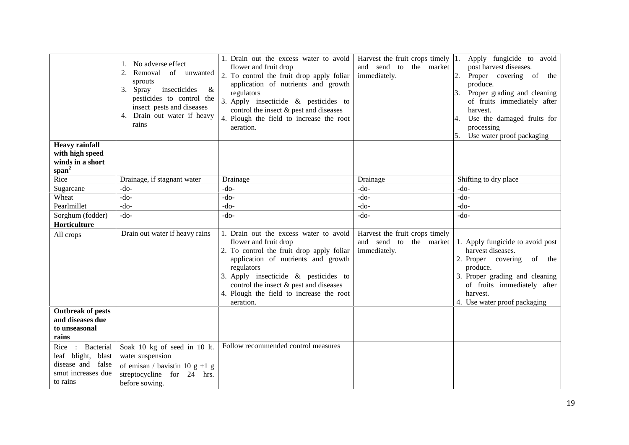| <b>Heavy rainfall</b>                                                                               | No adverse effect<br>1.<br>2. Removal<br>of unwanted<br>sprouts<br>insecticides<br>$\&$<br>3. Spray<br>pesticides to control the<br>insect pests and diseases<br>4. Drain out water if heavy<br>rains | 1. Drain out the excess water to avoid<br>flower and fruit drop<br>2. To control the fruit drop apply foliar<br>application of nutrients and growth<br>regulators<br>3. Apply insecticide $\&$ pesticides to<br>control the insect & pest and diseases<br>4. Plough the field to increase the root<br>aeration. | Harvest the fruit crops timely $ 1$ .<br>and send to the market<br>immediately. | Apply fungicide to avoid<br>post harvest diseases.<br>Proper covering of the<br>2.<br>produce.<br>Proper grading and cleaning<br>3.<br>of fruits immediately after<br>harvest.<br>Use the damaged fruits for<br>processing<br>Use water proof packaging<br>5. |
|-----------------------------------------------------------------------------------------------------|-------------------------------------------------------------------------------------------------------------------------------------------------------------------------------------------------------|-----------------------------------------------------------------------------------------------------------------------------------------------------------------------------------------------------------------------------------------------------------------------------------------------------------------|---------------------------------------------------------------------------------|---------------------------------------------------------------------------------------------------------------------------------------------------------------------------------------------------------------------------------------------------------------|
| with high speed                                                                                     |                                                                                                                                                                                                       |                                                                                                                                                                                                                                                                                                                 |                                                                                 |                                                                                                                                                                                                                                                               |
| winds in a short                                                                                    |                                                                                                                                                                                                       |                                                                                                                                                                                                                                                                                                                 |                                                                                 |                                                                                                                                                                                                                                                               |
| span <sup>2</sup><br>Rice                                                                           |                                                                                                                                                                                                       |                                                                                                                                                                                                                                                                                                                 |                                                                                 |                                                                                                                                                                                                                                                               |
| Sugarcane                                                                                           | Drainage, if stagnant water<br>-do-                                                                                                                                                                   | Drainage<br>$-do-$                                                                                                                                                                                                                                                                                              | Drainage<br>$-do-$                                                              | Shifting to dry place<br>-do-                                                                                                                                                                                                                                 |
| Wheat                                                                                               | $-do-$                                                                                                                                                                                                | $-do-$                                                                                                                                                                                                                                                                                                          | $-do-$                                                                          | $-do-$                                                                                                                                                                                                                                                        |
| Pearlmillet                                                                                         | $-do-$                                                                                                                                                                                                | $-do-$                                                                                                                                                                                                                                                                                                          | $-do-$                                                                          | $-do-$                                                                                                                                                                                                                                                        |
| Sorghum (fodder)                                                                                    | $-do-$                                                                                                                                                                                                | -do-                                                                                                                                                                                                                                                                                                            | $-do-$                                                                          | $-do-$                                                                                                                                                                                                                                                        |
| Horticulture                                                                                        |                                                                                                                                                                                                       |                                                                                                                                                                                                                                                                                                                 |                                                                                 |                                                                                                                                                                                                                                                               |
| All crops                                                                                           | Drain out water if heavy rains                                                                                                                                                                        | 1. Drain out the excess water to avoid<br>flower and fruit drop<br>2. To control the fruit drop apply foliar<br>application of nutrients and growth<br>regulators<br>3. Apply insecticide $\&$ pesticides to<br>control the insect & pest and diseases<br>4. Plough the field to increase the root<br>aeration. | Harvest the fruit crops timely<br>and send to<br>the market<br>immediately.     | 1. Apply fungicide to avoid post<br>harvest diseases.<br>2. Proper covering of the<br>produce.<br>3. Proper grading and cleaning<br>of fruits immediately after<br>harvest.<br>4. Use water proof packaging                                                   |
| <b>Outbreak of pests</b><br>and diseases due<br>to unseasonal<br>rains                              |                                                                                                                                                                                                       |                                                                                                                                                                                                                                                                                                                 |                                                                                 |                                                                                                                                                                                                                                                               |
| : Bacterial<br>Rice<br>leaf blight, blast<br>disease and<br>false<br>smut increases due<br>to rains | Soak 10 kg of seed in 10 lt.<br>water suspension<br>of emisan / bavistin 10 g +1 g<br>streptocycline for 24 hrs.<br>before sowing.                                                                    | Follow recommended control measures                                                                                                                                                                                                                                                                             |                                                                                 |                                                                                                                                                                                                                                                               |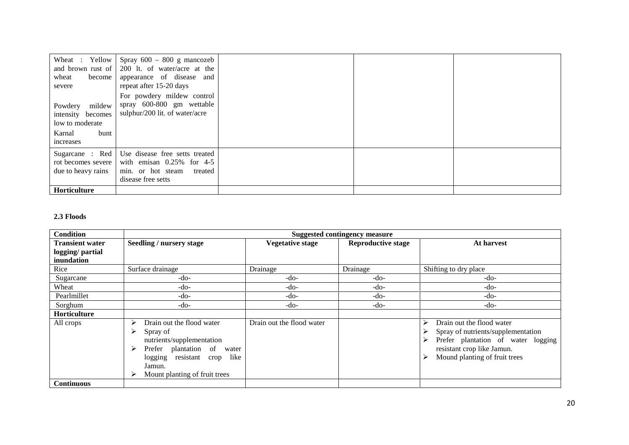| Wheat : Yellow<br>and brown rust of  <br>become<br>wheat<br>severe                       | Spray $600 - 800$ g mancozeb<br>200 lt. of water/acre at the<br>appearance of disease and<br>repeat after 15-20 days<br>For powdery mildew control |  |  |
|------------------------------------------------------------------------------------------|----------------------------------------------------------------------------------------------------------------------------------------------------|--|--|
| mildew<br>Powdery<br>intensity becomes<br>low to moderate<br>Karnal<br>bunt<br>increases | spray 600-800 gm wettable<br>sulphur/200 lit. of water/acre                                                                                        |  |  |
| rot becomes severe<br>due to heavy rains                                                 | Sugarcane: Red   Use disease free setts treated<br>with emisan $0.25\%$ for 4-5<br>min. or hot steam<br>treated<br>disease free setts              |  |  |
| <b>Horticulture</b>                                                                      |                                                                                                                                                    |  |  |

#### **2.3 Floods**

| <b>Condition</b>                                        | <b>Suggested contingency measure</b>                                                                                                                                                                 |                           |                           |                                                                                                                                                                                     |  |  |
|---------------------------------------------------------|------------------------------------------------------------------------------------------------------------------------------------------------------------------------------------------------------|---------------------------|---------------------------|-------------------------------------------------------------------------------------------------------------------------------------------------------------------------------------|--|--|
| <b>Transient water</b><br>logging/partial<br>inundation | Seedling / nursery stage                                                                                                                                                                             | <b>Vegetative stage</b>   | <b>Reproductive stage</b> | At harvest                                                                                                                                                                          |  |  |
| Rice                                                    | Surface drainage                                                                                                                                                                                     | Drainage                  | Drainage                  | Shifting to dry place                                                                                                                                                               |  |  |
| Sugarcane                                               | $-do-$                                                                                                                                                                                               | $-do-$                    | $-do-$                    | -do-                                                                                                                                                                                |  |  |
| Wheat                                                   | $-do-$                                                                                                                                                                                               | $-do-$                    | $-do-$                    | -do-                                                                                                                                                                                |  |  |
| Pearlmillet                                             | $-do-$                                                                                                                                                                                               | $-do-$                    | $-do-$                    | $-do-$                                                                                                                                                                              |  |  |
| Sorghum                                                 | $-do-$                                                                                                                                                                                               | $-do-$                    | $-do-$                    | -do-                                                                                                                                                                                |  |  |
| Horticulture                                            |                                                                                                                                                                                                      |                           |                           |                                                                                                                                                                                     |  |  |
| All crops                                               | Drain out the flood water<br>➤<br>Spray of<br>⋗<br>nutrients/supplementation<br>Prefer plantation of<br>➤<br>water<br>resistant crop like<br>logging<br>Jamun.<br>Mount planting of fruit trees<br>➤ | Drain out the flood water |                           | Drain out the flood water<br>↘<br>Spray of nutrients/supplementation<br>Prefer plantation of water logging<br>⋗<br>resistant crop like Jamun.<br>Mound planting of fruit trees<br>⋗ |  |  |
| <b>Continuous</b>                                       |                                                                                                                                                                                                      |                           |                           |                                                                                                                                                                                     |  |  |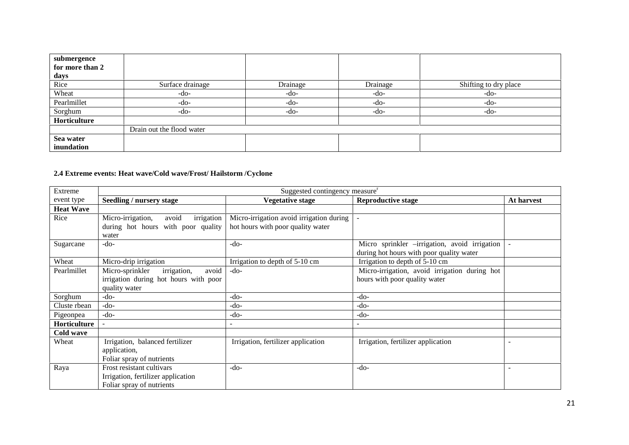| submergence     |                           |          |          |                       |
|-----------------|---------------------------|----------|----------|-----------------------|
| for more than 2 |                           |          |          |                       |
| days            |                           |          |          |                       |
| Rice            | Surface drainage          | Drainage | Drainage | Shifting to dry place |
| Wheat           | $-do-$                    | $-do-$   | $-do-$   | $-do-$                |
| Pearlmillet     | $-do-$                    | -do-     | $-do-$   | $-do-$                |
| Sorghum         | $-do-$                    | $-do-$   | $-do-$   | $-do-$                |
| Horticulture    |                           |          |          |                       |
|                 | Drain out the flood water |          |          |                       |
| Sea water       |                           |          |          |                       |
| inundation      |                           |          |          |                       |

## **2.4 Extreme events: Heat wave/Cold wave/Frost/ Hailstorm /Cyclone**

| Extreme          |                                          | Suggested contingency measure <sup>r</sup> |                                               |            |
|------------------|------------------------------------------|--------------------------------------------|-----------------------------------------------|------------|
| event type       | Seedling / nursery stage                 | <b>Vegetative stage</b>                    | <b>Reproductive stage</b>                     | At harvest |
| <b>Heat Wave</b> |                                          |                                            |                                               |            |
| Rice             | Micro-irrigation,<br>irrigation<br>avoid | Micro-irrigation avoid irrigation during   |                                               |            |
|                  | during hot hours with poor quality       | hot hours with poor quality water          |                                               |            |
|                  | water                                    |                                            |                                               |            |
| Sugarcane        | $-do-$                                   | $-do-$                                     | Micro sprinkler -irrigation, avoid irrigation | $\sim$     |
|                  |                                          |                                            | during hot hours with poor quality water      |            |
| Wheat            | Micro-drip irrigation                    | Irrigation to depth of 5-10 cm             | Irrigation to depth of 5-10 cm                |            |
| Pearlmillet      | irrigation,<br>avoid<br>Micro-sprinkler  | $-do-$                                     | Micro-irrigation, avoid irrigation during hot |            |
|                  | irrigation during hot hours with poor    |                                            | hours with poor quality water                 |            |
|                  | quality water                            |                                            |                                               |            |
| Sorghum          | $-do-$                                   | $-do-$                                     | -do-                                          |            |
| Cluste rbean     | $-do-$                                   | -do-                                       | $-do-$                                        |            |
| Pigeonpea        | $-do-$                                   | -do-                                       | $-do-$                                        |            |
| Horticulture     |                                          | $\overline{\phantom{0}}$                   |                                               |            |
| Cold wave        |                                          |                                            |                                               |            |
| Wheat            | Irrigation, balanced fertilizer          | Irrigation, fertilizer application         | Irrigation, fertilizer application            |            |
|                  | application,                             |                                            |                                               |            |
|                  | Foliar spray of nutrients                |                                            |                                               |            |
| Raya             | Frost resistant cultivars                | $-do-$                                     | $-do-$                                        |            |
|                  | Irrigation, fertilizer application       |                                            |                                               |            |
|                  | Foliar spray of nutrients                |                                            |                                               |            |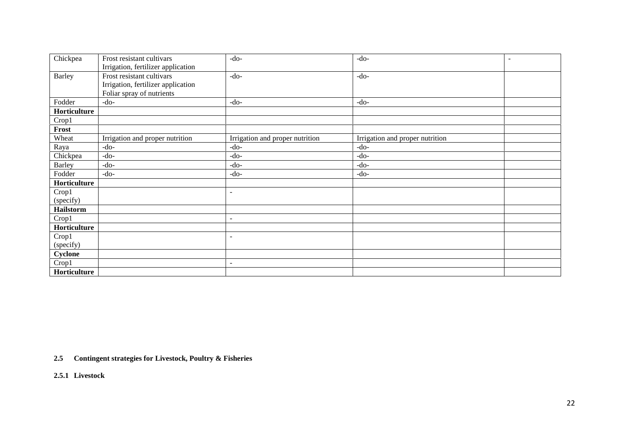| Chickpea      | Frost resistant cultivars          | $-do-$                          | $-do-$<br>$\qquad \qquad -$     |
|---------------|------------------------------------|---------------------------------|---------------------------------|
|               | Irrigation, fertilizer application |                                 |                                 |
| <b>Barley</b> | Frost resistant cultivars          | $-do-$                          | $-do-$                          |
|               | Irrigation, fertilizer application |                                 |                                 |
|               | Foliar spray of nutrients          |                                 |                                 |
| Fodder        | $-do-$                             | $-do-$                          | $-do-$                          |
| Horticulture  |                                    |                                 |                                 |
| Crop1         |                                    |                                 |                                 |
| Frost         |                                    |                                 |                                 |
| Wheat         | Irrigation and proper nutrition    | Irrigation and proper nutrition | Irrigation and proper nutrition |
| Raya          | $-do-$                             | $-do-$                          | $-do-$                          |
| Chickpea      | $-do-$                             | $-do-$                          | $-do-$                          |
| <b>Barley</b> | $-do-$                             | $-do-$                          | $-do-$                          |
| Fodder        | $-do-$                             | $-do-$                          | $-do-$                          |
| Horticulture  |                                    |                                 |                                 |
| Crop1         |                                    | $\overline{\phantom{a}}$        |                                 |
| (specify)     |                                    |                                 |                                 |
| Hailstorm     |                                    |                                 |                                 |
| Crop1         |                                    | $\overline{\phantom{0}}$        |                                 |
| Horticulture  |                                    |                                 |                                 |
| Crop1         |                                    | $\blacksquare$                  |                                 |
| (specify)     |                                    |                                 |                                 |
| Cyclone       |                                    |                                 |                                 |
| Crop1         |                                    | $\sim$                          |                                 |
| Horticulture  |                                    |                                 |                                 |

**2.5 Contingent strategies for Livestock, Poultry & Fisheries**

**2.5.1 Livestock**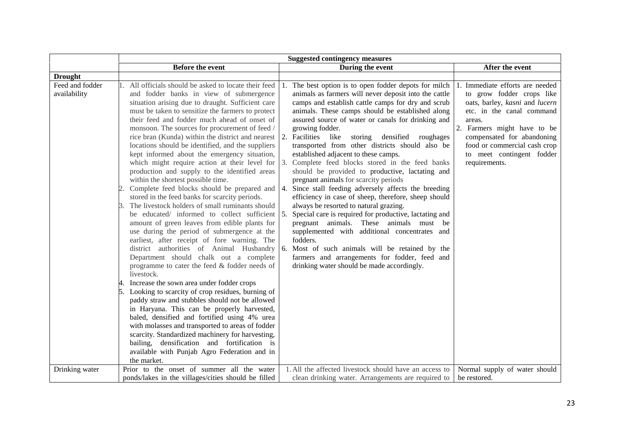|                                 | <b>Suggested contingency measures</b>                                                                                                                                                                                                                                                                                                                                                                                                                                                                                                                                                                                                                                                                                                                                                                                                                                                                                                                                                                                                                                                                                                                                                                                                                                                                                                                                                                                                                                                                                                                                                                         |                                                                                                                                                                                                                                                                                                                                                                                                                                                                                                                                                                                                                                                                                                                                                                                                                                                                                                                                                                                                                                                                                              |                                                                                                                                                                                                                                                                                  |
|---------------------------------|---------------------------------------------------------------------------------------------------------------------------------------------------------------------------------------------------------------------------------------------------------------------------------------------------------------------------------------------------------------------------------------------------------------------------------------------------------------------------------------------------------------------------------------------------------------------------------------------------------------------------------------------------------------------------------------------------------------------------------------------------------------------------------------------------------------------------------------------------------------------------------------------------------------------------------------------------------------------------------------------------------------------------------------------------------------------------------------------------------------------------------------------------------------------------------------------------------------------------------------------------------------------------------------------------------------------------------------------------------------------------------------------------------------------------------------------------------------------------------------------------------------------------------------------------------------------------------------------------------------|----------------------------------------------------------------------------------------------------------------------------------------------------------------------------------------------------------------------------------------------------------------------------------------------------------------------------------------------------------------------------------------------------------------------------------------------------------------------------------------------------------------------------------------------------------------------------------------------------------------------------------------------------------------------------------------------------------------------------------------------------------------------------------------------------------------------------------------------------------------------------------------------------------------------------------------------------------------------------------------------------------------------------------------------------------------------------------------------|----------------------------------------------------------------------------------------------------------------------------------------------------------------------------------------------------------------------------------------------------------------------------------|
|                                 | <b>Before the event</b>                                                                                                                                                                                                                                                                                                                                                                                                                                                                                                                                                                                                                                                                                                                                                                                                                                                                                                                                                                                                                                                                                                                                                                                                                                                                                                                                                                                                                                                                                                                                                                                       | During the event                                                                                                                                                                                                                                                                                                                                                                                                                                                                                                                                                                                                                                                                                                                                                                                                                                                                                                                                                                                                                                                                             | After the event                                                                                                                                                                                                                                                                  |
| <b>Drought</b>                  |                                                                                                                                                                                                                                                                                                                                                                                                                                                                                                                                                                                                                                                                                                                                                                                                                                                                                                                                                                                                                                                                                                                                                                                                                                                                                                                                                                                                                                                                                                                                                                                                               |                                                                                                                                                                                                                                                                                                                                                                                                                                                                                                                                                                                                                                                                                                                                                                                                                                                                                                                                                                                                                                                                                              |                                                                                                                                                                                                                                                                                  |
| Feed and fodder<br>availability | All officials should be asked to locate their feed<br>and fodder banks in view of submergence<br>situation arising due to draught. Sufficient care<br>must be taken to sensitize the farmers to protect<br>their feed and fodder much ahead of onset of<br>monsoon. The sources for procurement of feed /<br>rice bran (Kunda) within the district and nearest<br>locations should be identified, and the suppliers<br>kept informed about the emergency situation,<br>which might require action at their level for<br>production and supply to the identified areas<br>within the shortest possible time.<br>Complete feed blocks should be prepared and<br>stored in the feed banks for scarcity periods.<br>3. The livestock holders of small ruminants should<br>be educated/ informed to collect sufficient $\vert 5$ .<br>amount of green leaves from edible plants for<br>use during the period of submergence at the<br>earliest, after receipt of fore warning. The<br>district authorities of Animal Husbandry<br>Department should chalk out a complete<br>programme to cater the feed & fodder needs of<br>livestock.<br>4. Increase the sown area under fodder crops<br>Looking to scarcity of crop residues, burning of<br>paddy straw and stubbles should not be allowed<br>in Haryana. This can be properly harvested,<br>baled, densified and fortified using 4% urea<br>with molasses and transported to areas of fodder<br>scarcity. Standardized machinery for harvesting,<br>bailing, densification and fortification is<br>available with Punjab Agro Federation and in<br>the market. | The best option is to open fodder depots for milch<br>animals as farmers will never deposit into the cattle<br>camps and establish cattle camps for dry and scrub<br>animals. These camps should be established along<br>assured source of water or canals for drinking and<br>growing fodder.<br>2.<br>Facilities like<br>storing<br>densified roughages<br>transported from other districts should also be<br>established adjacent to these camps.<br>Complete feed blocks stored in the feed banks<br>3.<br>should be provided to productive, lactating and<br>pregnant animals for scarcity periods<br>4.<br>Since stall feeding adversely affects the breeding<br>efficiency in case of sheep, therefore, sheep should<br>always be resorted to natural grazing.<br>Special care is required for productive, lactating and<br>pregnant animals. These animals must be<br>supplemented with additional concentrates and<br>fodders.<br>Most of such animals will be retained by the<br>6.<br>farmers and arrangements for fodder, feed and<br>drinking water should be made accordingly. | Immediate efforts are needed<br>to grow fodder crops like<br>oats, barley, kasni and lucern<br>etc. in the canal command<br>areas.<br>2.<br>Farmers might have to be<br>compensated for abandoning<br>food or commercial cash crop<br>to meet contingent fodder<br>requirements. |
| Drinking water                  | Prior to the onset of summer all the water                                                                                                                                                                                                                                                                                                                                                                                                                                                                                                                                                                                                                                                                                                                                                                                                                                                                                                                                                                                                                                                                                                                                                                                                                                                                                                                                                                                                                                                                                                                                                                    | 1. All the affected livestock should have an access to                                                                                                                                                                                                                                                                                                                                                                                                                                                                                                                                                                                                                                                                                                                                                                                                                                                                                                                                                                                                                                       | Normal supply of water should                                                                                                                                                                                                                                                    |
|                                 | ponds/lakes in the villages/cities should be filled                                                                                                                                                                                                                                                                                                                                                                                                                                                                                                                                                                                                                                                                                                                                                                                                                                                                                                                                                                                                                                                                                                                                                                                                                                                                                                                                                                                                                                                                                                                                                           | clean drinking water. Arrangements are required to                                                                                                                                                                                                                                                                                                                                                                                                                                                                                                                                                                                                                                                                                                                                                                                                                                                                                                                                                                                                                                           | be restored.                                                                                                                                                                                                                                                                     |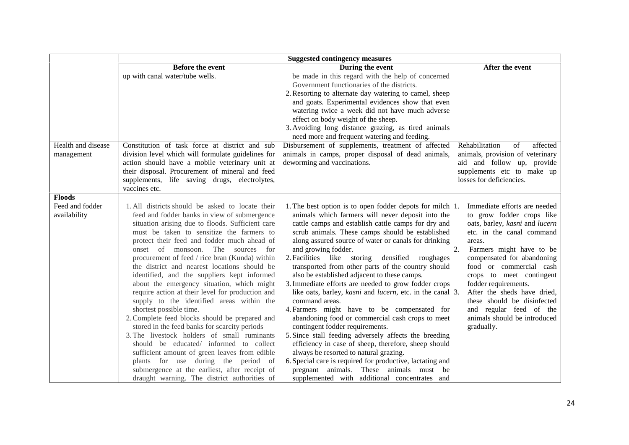|                                 | <b>Suggested contingency measures</b>                                                                                                                                                                                                                                                                                                                                                                                                                                                                                                                                                                                                                                                                                                                                                                                                                                                                                                                                                                  |                                                                                                                                                                                                                                                                                                                                                                                                                                                                                                                                                                                                                                                                                                                                                                                                                                                                                                                                                                                                                                                                                |                                                                                                                                                                                                                                                                                                                                                                                                                    |
|---------------------------------|--------------------------------------------------------------------------------------------------------------------------------------------------------------------------------------------------------------------------------------------------------------------------------------------------------------------------------------------------------------------------------------------------------------------------------------------------------------------------------------------------------------------------------------------------------------------------------------------------------------------------------------------------------------------------------------------------------------------------------------------------------------------------------------------------------------------------------------------------------------------------------------------------------------------------------------------------------------------------------------------------------|--------------------------------------------------------------------------------------------------------------------------------------------------------------------------------------------------------------------------------------------------------------------------------------------------------------------------------------------------------------------------------------------------------------------------------------------------------------------------------------------------------------------------------------------------------------------------------------------------------------------------------------------------------------------------------------------------------------------------------------------------------------------------------------------------------------------------------------------------------------------------------------------------------------------------------------------------------------------------------------------------------------------------------------------------------------------------------|--------------------------------------------------------------------------------------------------------------------------------------------------------------------------------------------------------------------------------------------------------------------------------------------------------------------------------------------------------------------------------------------------------------------|
|                                 | Before the event                                                                                                                                                                                                                                                                                                                                                                                                                                                                                                                                                                                                                                                                                                                                                                                                                                                                                                                                                                                       | During the event                                                                                                                                                                                                                                                                                                                                                                                                                                                                                                                                                                                                                                                                                                                                                                                                                                                                                                                                                                                                                                                               | After the event                                                                                                                                                                                                                                                                                                                                                                                                    |
| Health and disease              | up with canal water/tube wells.<br>Constitution of task force at district and sub                                                                                                                                                                                                                                                                                                                                                                                                                                                                                                                                                                                                                                                                                                                                                                                                                                                                                                                      | be made in this regard with the help of concerned<br>Government functionaries of the districts.<br>2. Resorting to alternate day watering to camel, sheep<br>and goats. Experimental evidences show that even<br>watering twice a week did not have much adverse<br>effect on body weight of the sheep.<br>3. Avoiding long distance grazing, as tired animals<br>need more and frequent watering and feeding.<br>Disbursement of supplements, treatment of affected                                                                                                                                                                                                                                                                                                                                                                                                                                                                                                                                                                                                           | Rehabilitation<br>affected<br>of                                                                                                                                                                                                                                                                                                                                                                                   |
| management<br><b>Floods</b>     | division level which will formulate guidelines for<br>action should have a mobile veterinary unit at<br>their disposal. Procurement of mineral and feed<br>supplements, life saving drugs, electrolytes,<br>vaccines etc.                                                                                                                                                                                                                                                                                                                                                                                                                                                                                                                                                                                                                                                                                                                                                                              | animals in camps, proper disposal of dead animals,<br>deworming and vaccinations.                                                                                                                                                                                                                                                                                                                                                                                                                                                                                                                                                                                                                                                                                                                                                                                                                                                                                                                                                                                              | animals, provision of veterinary<br>aid and follow up, provide<br>supplements etc to make up<br>losses for deficiencies.                                                                                                                                                                                                                                                                                           |
| Feed and fodder<br>availability | 1. All districts should be asked to locate their<br>feed and fodder banks in view of submergence<br>situation arising due to floods. Sufficient care<br>must be taken to sensitize the farmers to<br>protect their feed and fodder much ahead of<br>onset of monsoon. The sources for<br>procurement of feed / rice bran (Kunda) within<br>the district and nearest locations should be<br>identified, and the suppliers kept informed<br>about the emergency situation, which might<br>require action at their level for production and<br>supply to the identified areas within the<br>shortest possible time.<br>2. Complete feed blocks should be prepared and<br>stored in the feed banks for scarcity periods<br>3. The livestock holders of small ruminants<br>should be educated/ informed to collect<br>sufficient amount of green leaves from edible<br>plants for use during the period of<br>submergence at the earliest, after receipt of<br>draught warning. The district authorities of | 1. The best option is to open fodder depots for milch $ 1$ .<br>animals which farmers will never deposit into the<br>cattle camps and establish cattle camps for dry and<br>scrub animals. These camps should be established<br>along assured source of water or canals for drinking<br>and growing fodder.<br>2. Facilities like storing densified<br>roughages<br>transported from other parts of the country should<br>also be established adjacent to these camps.<br>3. Immediate efforts are needed to grow fodder crops<br>like oats, barley, kasni and lucern, etc. in the canal $\beta$ .<br>command areas.<br>4. Farmers might have to be compensated for<br>abandoning food or commercial cash crops to meet<br>contingent fodder requirements.<br>5. Since stall feeding adversely affects the breeding<br>efficiency in case of sheep, therefore, sheep should<br>always be resorted to natural grazing.<br>6. Special care is required for productive, lactating and<br>pregnant animals. These animals must be<br>supplemented with additional concentrates and | Immediate efforts are needed<br>to grow fodder crops like<br>oats, barley, kasni and lucern<br>etc. in the canal command<br>areas.<br>Farmers might have to be<br>compensated for abandoning<br>food or commercial cash<br>crops to meet contingent<br>fodder requirements.<br>After the sheds have dried,<br>these should be disinfected<br>and regular feed of the<br>animals should be introduced<br>gradually. |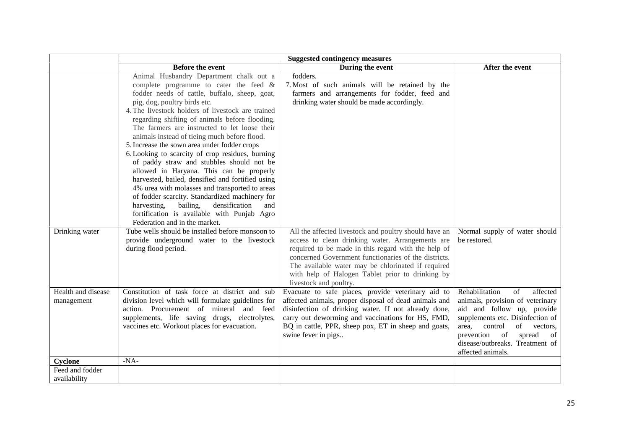|                                  | <b>Suggested contingency measures</b>                                                                                                                                                                                                                                                                                                                                                                                                                                                                                                                                                                                                                                                                                                                                                                                                                                 |                                                                                                                                                                                                                                                                                                                                                              |                                                                                                                                                                                                                                                                          |
|----------------------------------|-----------------------------------------------------------------------------------------------------------------------------------------------------------------------------------------------------------------------------------------------------------------------------------------------------------------------------------------------------------------------------------------------------------------------------------------------------------------------------------------------------------------------------------------------------------------------------------------------------------------------------------------------------------------------------------------------------------------------------------------------------------------------------------------------------------------------------------------------------------------------|--------------------------------------------------------------------------------------------------------------------------------------------------------------------------------------------------------------------------------------------------------------------------------------------------------------------------------------------------------------|--------------------------------------------------------------------------------------------------------------------------------------------------------------------------------------------------------------------------------------------------------------------------|
|                                  | <b>Before the event</b>                                                                                                                                                                                                                                                                                                                                                                                                                                                                                                                                                                                                                                                                                                                                                                                                                                               | During the event                                                                                                                                                                                                                                                                                                                                             | After the event                                                                                                                                                                                                                                                          |
|                                  | Animal Husbandry Department chalk out a<br>complete programme to cater the feed $\&$<br>fodder needs of cattle, buffalo, sheep, goat,<br>pig, dog, poultry birds etc.<br>4. The livestock holders of livestock are trained<br>regarding shifting of animals before flooding.<br>The farmers are instructed to let loose their<br>animals instead of tieing much before flood.<br>5. Increase the sown area under fodder crops<br>6. Looking to scarcity of crop residues, burning<br>of paddy straw and stubbles should not be<br>allowed in Haryana. This can be properly<br>harvested, bailed, densified and fortified using<br>4% urea with molasses and transported to areas<br>of fodder scarcity. Standardized machinery for<br>bailing,<br>densification<br>harvesting,<br>and<br>fortification is available with Punjab Agro<br>Federation and in the market. | fodders.<br>7. Most of such animals will be retained by the<br>farmers and arrangements for fodder, feed and<br>drinking water should be made accordingly.                                                                                                                                                                                                   |                                                                                                                                                                                                                                                                          |
| Drinking water                   | Tube wells should be installed before monsoon to<br>provide underground water to the livestock<br>during flood period.                                                                                                                                                                                                                                                                                                                                                                                                                                                                                                                                                                                                                                                                                                                                                | All the affected livestock and poultry should have an<br>access to clean drinking water. Arrangements are<br>required to be made in this regard with the help of<br>concerned Government functionaries of the districts.<br>The available water may be chlorinated if required<br>with help of Halogen Tablet prior to drinking by<br>livestock and poultry. | Normal supply of water should<br>be restored.                                                                                                                                                                                                                            |
| Health and disease<br>management | Constitution of task force at district and sub<br>division level which will formulate guidelines for<br>action. Procurement of mineral and feed<br>supplements, life saving drugs, electrolytes,<br>vaccines etc. Workout places for evacuation.                                                                                                                                                                                                                                                                                                                                                                                                                                                                                                                                                                                                                      | Evacuate to safe places, provide veterinary aid to<br>affected animals, proper disposal of dead animals and<br>disinfection of drinking water. If not already done,<br>carry out deworming and vaccinations for HS, FMD,<br>BQ in cattle, PPR, sheep pox, ET in sheep and goats,<br>swine fever in pigs                                                      | Rehabilitation<br>of<br>affected<br>animals, provision of veterinary<br>aid and follow up, provide<br>supplements etc. Disinfection of<br>of<br>area.<br>control<br>vectors,<br>of<br>spread<br>prevention<br>of<br>disease/outbreaks. Treatment of<br>affected animals. |
| Cyclone                          | $-NA-$                                                                                                                                                                                                                                                                                                                                                                                                                                                                                                                                                                                                                                                                                                                                                                                                                                                                |                                                                                                                                                                                                                                                                                                                                                              |                                                                                                                                                                                                                                                                          |
| Feed and fodder<br>availability  |                                                                                                                                                                                                                                                                                                                                                                                                                                                                                                                                                                                                                                                                                                                                                                                                                                                                       |                                                                                                                                                                                                                                                                                                                                                              |                                                                                                                                                                                                                                                                          |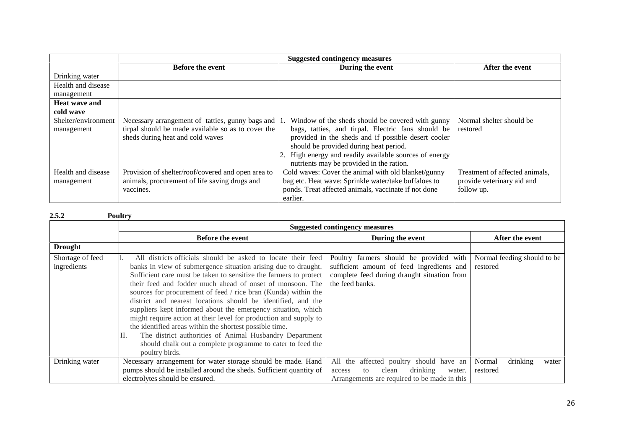|                     | <b>Suggested contingency measures</b>              |                                                        |                                |
|---------------------|----------------------------------------------------|--------------------------------------------------------|--------------------------------|
|                     | <b>Before the event</b>                            | During the event                                       | After the event                |
| Drinking water      |                                                    |                                                        |                                |
| Health and disease  |                                                    |                                                        |                                |
| management          |                                                    |                                                        |                                |
| Heat wave and       |                                                    |                                                        |                                |
| cold wave           |                                                    |                                                        |                                |
| Shelter/environment | Necessary arrangement of tatties, gunny bags and   | Window of the sheds should be covered with gunny       | Normal shelter should be       |
| management          | tirpal should be made available so as to cover the | bags, tatties, and tirpal. Electric fans should be     | restored                       |
|                     | sheds during heat and cold waves                   | provided in the sheds and if possible desert cooler    |                                |
|                     |                                                    | should be provided during heat period.                 |                                |
|                     |                                                    | 2. High energy and readily available sources of energy |                                |
|                     |                                                    | nutrients may be provided in the ration.               |                                |
| Health and disease  | Provision of shelter/roof/covered and open area to | Cold waves: Cover the animal with old blanket/gunny    | Treatment of affected animals, |
| management          | animals, procurement of life saving drugs and      | bag etc. Heat wave: Sprinkle water/take buffaloes to   | provide veterinary aid and     |
|                     | vaccines.                                          | ponds. Treat affected animals, vaccinate if not done   | follow up.                     |
|                     |                                                    | earlier.                                               |                                |

#### **2.5.2 Poultry**

|                                 | Suggested contingency measures                                                                                                                                                                                                                                                                                                                                                                                                                                                                                                                                                                                                                                                                                                                     |                                                                                                                                                        |                                         |
|---------------------------------|----------------------------------------------------------------------------------------------------------------------------------------------------------------------------------------------------------------------------------------------------------------------------------------------------------------------------------------------------------------------------------------------------------------------------------------------------------------------------------------------------------------------------------------------------------------------------------------------------------------------------------------------------------------------------------------------------------------------------------------------------|--------------------------------------------------------------------------------------------------------------------------------------------------------|-----------------------------------------|
|                                 | <b>Before the event</b>                                                                                                                                                                                                                                                                                                                                                                                                                                                                                                                                                                                                                                                                                                                            | During the event                                                                                                                                       | After the event                         |
| <b>Drought</b>                  |                                                                                                                                                                                                                                                                                                                                                                                                                                                                                                                                                                                                                                                                                                                                                    |                                                                                                                                                        |                                         |
| Shortage of feed<br>ingredients | All districts officials should be asked to locate their feed<br>banks in view of submergence situation arising due to draught.<br>Sufficient care must be taken to sensitize the farmers to protect<br>their feed and fodder much ahead of onset of monsoon. The<br>sources for procurement of feed / rice bran (Kunda) within the<br>district and nearest locations should be identified, and the<br>suppliers kept informed about the emergency situation, which<br>might require action at their level for production and supply to<br>the identified areas within the shortest possible time.<br>The district authorities of Animal Husbandry Department<br>П.<br>should chalk out a complete programme to cater to feed the<br>poultry birds. | Poultry farmers should be provided with<br>sufficient amount of feed ingredients and<br>complete feed during draught situation from<br>the feed banks. | Normal feeding should to be<br>restored |
| Drinking water                  | Necessary arrangement for water storage should be made. Hand                                                                                                                                                                                                                                                                                                                                                                                                                                                                                                                                                                                                                                                                                       | All the affected poultry should have an                                                                                                                | Normal<br>drinking<br>water             |
|                                 | pumps should be installed around the sheds. Sufficient quantity of                                                                                                                                                                                                                                                                                                                                                                                                                                                                                                                                                                                                                                                                                 | drinking<br>clean<br>to<br>water.<br>access                                                                                                            | restored                                |
|                                 | electrolytes should be ensured.                                                                                                                                                                                                                                                                                                                                                                                                                                                                                                                                                                                                                                                                                                                    | Arrangements are required to be made in this                                                                                                           |                                         |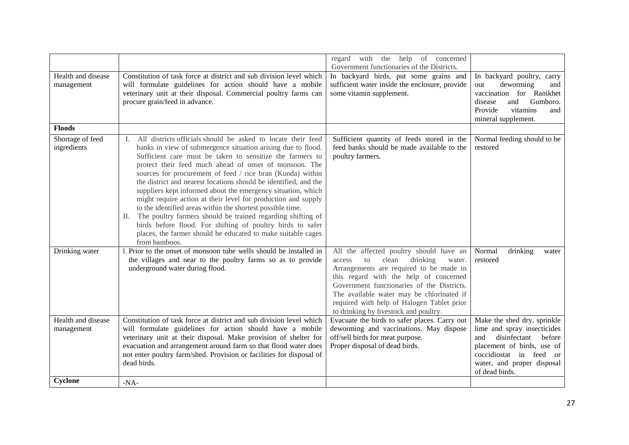|                                  |                                                                                                                                                                                                                                                                                                                                                                                                                                                                                                                                                                                                                                                                                                                                                                                                             | regard with the help of concerned                                                                                                                                                                                                                                                                                                                             |                                                                                                                                                                                                      |
|----------------------------------|-------------------------------------------------------------------------------------------------------------------------------------------------------------------------------------------------------------------------------------------------------------------------------------------------------------------------------------------------------------------------------------------------------------------------------------------------------------------------------------------------------------------------------------------------------------------------------------------------------------------------------------------------------------------------------------------------------------------------------------------------------------------------------------------------------------|---------------------------------------------------------------------------------------------------------------------------------------------------------------------------------------------------------------------------------------------------------------------------------------------------------------------------------------------------------------|------------------------------------------------------------------------------------------------------------------------------------------------------------------------------------------------------|
| Health and disease<br>management | Constitution of task force at district and sub division level which<br>will formulate guidelines for action should have a mobile<br>veterinary unit at their disposal. Commercial poultry farms can<br>procure grain/feed in advance.                                                                                                                                                                                                                                                                                                                                                                                                                                                                                                                                                                       | Government functionaries of the Districts.<br>In backyard birds, put some grains and<br>sufficient water inside the enclosure, provide<br>some vitamin supplement.                                                                                                                                                                                            | In backyard poultry, carry<br>deworming<br>out<br>and<br>vaccination for Ranikhet<br>and<br>Gumboro.<br>disease<br>Provide<br>vitamins<br>and<br>mineral supplement.                                 |
| <b>Floods</b>                    |                                                                                                                                                                                                                                                                                                                                                                                                                                                                                                                                                                                                                                                                                                                                                                                                             |                                                                                                                                                                                                                                                                                                                                                               |                                                                                                                                                                                                      |
| Shortage of feed<br>ingredients  | I. All districts officials should be asked to locate their feed<br>banks in view of submergence situation arising due to flood.<br>Sufficient care must be taken to sensitize the farmers to<br>protect their feed much ahead of onset of monsoon. The<br>sources for procurement of feed / rice bran (Kunda) within<br>the district and nearest locations should be identified, and the<br>suppliers kept informed about the emergency situation, which<br>might require action at their level for production and supply<br>to the identified areas within the shortest possible time.<br>The poultry farmers should be trained regarding shifting of<br>П.<br>birds before flood. For shifting of poultry birds to safer<br>places, the farmer should be educated to make suitable cages<br>from bamboos. | Sufficient quantity of feeds stored in the<br>feed banks should be made available to the<br>poultry farmers.                                                                                                                                                                                                                                                  | Normal feeding should to be<br>restored                                                                                                                                                              |
| Drinking water                   | I. Prior to the onset of monsoon tube wells should be installed in<br>the villages and near to the poultry farms so as to provide<br>underground water during flood.                                                                                                                                                                                                                                                                                                                                                                                                                                                                                                                                                                                                                                        | All the affected poultry should have an<br>clean<br>drinking<br>to<br>water.<br>access<br>Arrangements are required to be made in<br>this regard with the help of concerned<br>Government functionaries of the Districts.<br>The available water may be chlorinated if<br>required with help of Halogen Tablet prior<br>to drinking by livestock and poultry. | drinking<br>Normal<br>water<br>restored                                                                                                                                                              |
| Health and disease<br>management | Constitution of task force at district and sub division level which<br>will formulate guidelines for action should have a mobile<br>veterinary unit at their disposal. Make provision of shelter for<br>evacuation and arrangement around farm so that flood water does<br>not enter poultry farm/shed. Provision or facilities for disposal of<br>dead birds.                                                                                                                                                                                                                                                                                                                                                                                                                                              | Evacuate the birds to safer places. Carry out<br>deworming and vaccinations. May dispose<br>off/sell birds for meat purpose.<br>Proper disposal of dead birds.                                                                                                                                                                                                | Make the shed dry, sprinkle<br>lime and spray insecticides<br>and<br>disinfectant<br>before<br>placement of birds, use of<br>coccidiostat in feed or<br>water, and proper disposal<br>of dead birds. |
| Cyclone                          | $-NA-$                                                                                                                                                                                                                                                                                                                                                                                                                                                                                                                                                                                                                                                                                                                                                                                                      |                                                                                                                                                                                                                                                                                                                                                               |                                                                                                                                                                                                      |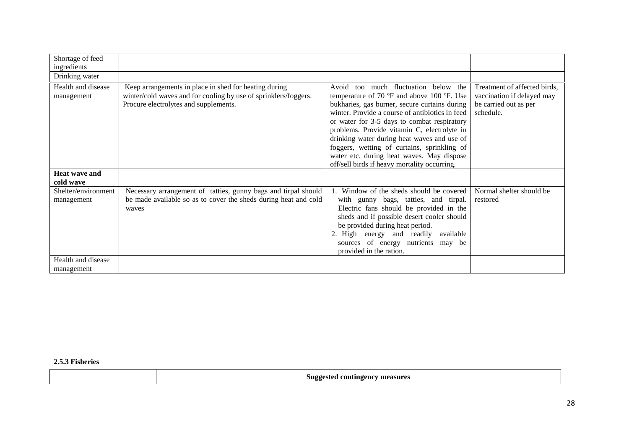| Shortage of feed<br>ingredients   |                                                                                                                                                                   |                                                                                                                                                                                                                                                                                                                                                                                                                                                                                 |                                                                                                  |
|-----------------------------------|-------------------------------------------------------------------------------------------------------------------------------------------------------------------|---------------------------------------------------------------------------------------------------------------------------------------------------------------------------------------------------------------------------------------------------------------------------------------------------------------------------------------------------------------------------------------------------------------------------------------------------------------------------------|--------------------------------------------------------------------------------------------------|
| Drinking water                    |                                                                                                                                                                   |                                                                                                                                                                                                                                                                                                                                                                                                                                                                                 |                                                                                                  |
| Health and disease<br>management  | Keep arrangements in place in shed for heating during<br>winter/cold waves and for cooling by use of sprinklers/foggers.<br>Procure electrolytes and supplements. | Avoid too much fluctuation below the<br>temperature of 70 °F and above 100 °F. Use<br>bukharies, gas burner, secure curtains during<br>winter. Provide a course of antibiotics in feed<br>or water for 3-5 days to combat respiratory<br>problems. Provide vitamin C, electrolyte in<br>drinking water during heat waves and use of<br>foggers, wetting of curtains, sprinkling of<br>water etc. during heat waves. May dispose<br>off/sell birds if heavy mortality occurring. | Treatment of affected birds,<br>vaccination if delayed may<br>be carried out as per<br>schedule. |
| <b>Heat wave and</b><br>cold wave |                                                                                                                                                                   |                                                                                                                                                                                                                                                                                                                                                                                                                                                                                 |                                                                                                  |
| Shelter/environment<br>management | Necessary arrangement of tatties, gunny bags and tirpal should<br>be made available so as to cover the sheds during heat and cold<br>waves                        | 1. Window of the sheds should be covered<br>with gunny bags, tatties, and tirpal.<br>Electric fans should be provided in the<br>sheds and if possible desert cooler should<br>be provided during heat period.<br>2. High energy and readily<br>available<br>sources of energy nutrients may be<br>provided in the ration.                                                                                                                                                       | Normal shelter should be<br>restored                                                             |
| Health and disease<br>management  |                                                                                                                                                                   |                                                                                                                                                                                                                                                                                                                                                                                                                                                                                 |                                                                                                  |

**2.5.3 Fisheries**

| <sup>7</sup> measures<br>Suggested contingency<br>ంం |
|------------------------------------------------------|
|------------------------------------------------------|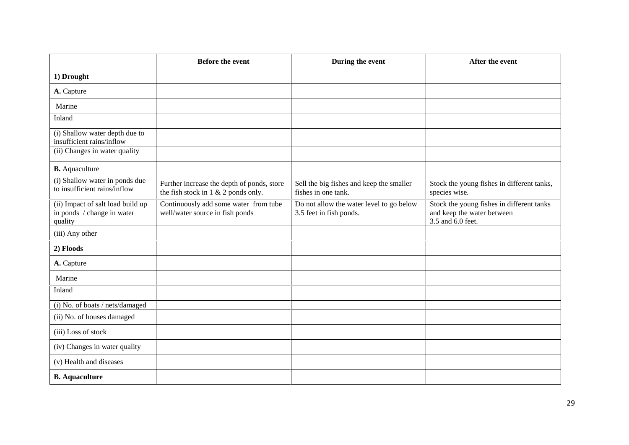|                                                                            | <b>Before the event</b>                                                              | During the event                                                    | After the event                                                                              |
|----------------------------------------------------------------------------|--------------------------------------------------------------------------------------|---------------------------------------------------------------------|----------------------------------------------------------------------------------------------|
| 1) Drought                                                                 |                                                                                      |                                                                     |                                                                                              |
| A. Capture                                                                 |                                                                                      |                                                                     |                                                                                              |
| Marine                                                                     |                                                                                      |                                                                     |                                                                                              |
| Inland                                                                     |                                                                                      |                                                                     |                                                                                              |
| (i) Shallow water depth due to<br>insufficient rains/inflow                |                                                                                      |                                                                     |                                                                                              |
| (ii) Changes in water quality                                              |                                                                                      |                                                                     |                                                                                              |
| <b>B.</b> Aquaculture                                                      |                                                                                      |                                                                     |                                                                                              |
| (i) Shallow water in ponds due<br>to insufficient rains/inflow             | Further increase the depth of ponds, store<br>the fish stock in $1 \& 2$ ponds only. | Sell the big fishes and keep the smaller<br>fishes in one tank.     | Stock the young fishes in different tanks,<br>species wise.                                  |
| (ii) Impact of salt load build up<br>in ponds / change in water<br>quality | Continuously add some water from tube<br>well/water source in fish ponds             | Do not allow the water level to go below<br>3.5 feet in fish ponds. | Stock the young fishes in different tanks<br>and keep the water between<br>3.5 and 6.0 feet. |
| (iii) Any other                                                            |                                                                                      |                                                                     |                                                                                              |
| 2) Floods                                                                  |                                                                                      |                                                                     |                                                                                              |
| A. Capture                                                                 |                                                                                      |                                                                     |                                                                                              |
| Marine                                                                     |                                                                                      |                                                                     |                                                                                              |
| Inland                                                                     |                                                                                      |                                                                     |                                                                                              |
| (i) No. of boats / nets/damaged                                            |                                                                                      |                                                                     |                                                                                              |
| (ii) No. of houses damaged                                                 |                                                                                      |                                                                     |                                                                                              |
| (iii) Loss of stock                                                        |                                                                                      |                                                                     |                                                                                              |
| (iv) Changes in water quality                                              |                                                                                      |                                                                     |                                                                                              |
| (v) Health and diseases                                                    |                                                                                      |                                                                     |                                                                                              |
| <b>B.</b> Aquaculture                                                      |                                                                                      |                                                                     |                                                                                              |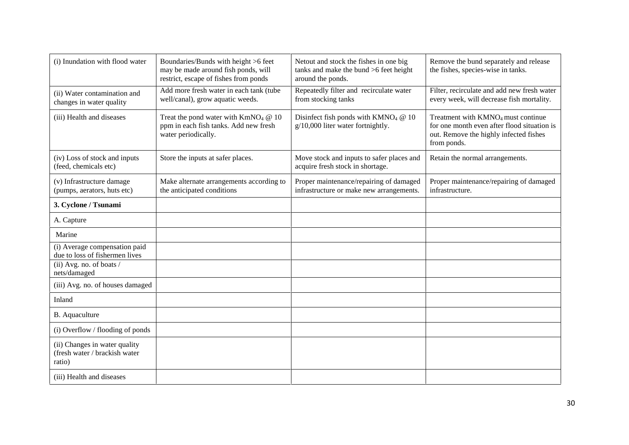| (i) Inundation with flood water                                          | Boundaries/Bunds with height >6 feet<br>may be made around fish ponds, will<br>restrict, escape of fishes from ponds | Netout and stock the fishes in one big<br>tanks and make the bund $>6$ feet height<br>around the ponds. | Remove the bund separately and release<br>the fishes, species-wise in tanks.                                                                           |
|--------------------------------------------------------------------------|----------------------------------------------------------------------------------------------------------------------|---------------------------------------------------------------------------------------------------------|--------------------------------------------------------------------------------------------------------------------------------------------------------|
| (ii) Water contamination and<br>changes in water quality                 | Add more fresh water in each tank (tube<br>well/canal), grow aquatic weeds.                                          | Repeatedly filter and recirculate water<br>from stocking tanks                                          | Filter, recirculate and add new fresh water<br>every week, will decrease fish mortality.                                                               |
| (iii) Health and diseases                                                | Treat the pond water with $KmNO4$ @ 10<br>ppm in each fish tanks. Add new fresh<br>water periodically.               | Disinfect fish ponds with $K M N O4 @ 10$<br>$g/10,000$ liter water fortnightly.                        | Treatment with KMNO <sub>4</sub> must continue<br>for one month even after flood situation is<br>out. Remove the highly infected fishes<br>from ponds. |
| (iv) Loss of stock and inputs<br>(feed, chemicals etc)                   | Store the inputs at safer places.                                                                                    | Move stock and inputs to safer places and<br>acquire fresh stock in shortage.                           | Retain the normal arrangements.                                                                                                                        |
| (v) Infrastructure damage<br>(pumps, aerators, huts etc)                 | Make alternate arrangements according to<br>the anticipated conditions                                               | Proper maintenance/repairing of damaged<br>infrastructure or make new arrangements.                     | Proper maintenance/repairing of damaged<br>infrastructure.                                                                                             |
| 3. Cyclone / Tsunami                                                     |                                                                                                                      |                                                                                                         |                                                                                                                                                        |
| A. Capture                                                               |                                                                                                                      |                                                                                                         |                                                                                                                                                        |
| Marine                                                                   |                                                                                                                      |                                                                                                         |                                                                                                                                                        |
| (i) Average compensation paid<br>due to loss of fishermen lives          |                                                                                                                      |                                                                                                         |                                                                                                                                                        |
| (ii) Avg. no. of boats /<br>nets/damaged                                 |                                                                                                                      |                                                                                                         |                                                                                                                                                        |
| (iii) Avg. no. of houses damaged                                         |                                                                                                                      |                                                                                                         |                                                                                                                                                        |
| Inland                                                                   |                                                                                                                      |                                                                                                         |                                                                                                                                                        |
| B. Aquaculture                                                           |                                                                                                                      |                                                                                                         |                                                                                                                                                        |
| (i) Overflow / flooding of ponds                                         |                                                                                                                      |                                                                                                         |                                                                                                                                                        |
| (ii) Changes in water quality<br>(fresh water / brackish water<br>ratio) |                                                                                                                      |                                                                                                         |                                                                                                                                                        |
| (iii) Health and diseases                                                |                                                                                                                      |                                                                                                         |                                                                                                                                                        |